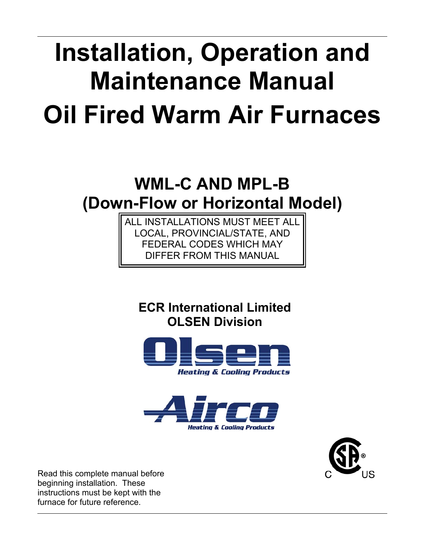# **Installation, Operation and Maintenance Manual Oil Fired Warm Air Furnaces**

# **WML-C AND MPL-B (Down-Flow or Horizontal Model)**

ALL INSTALLATIONS MUST MEET ALL LOCAL, PROVINCIAL/STATE, AND FEDERAL CODES WHICH MAY **FER FROM THIS MANUAL** 

**ECR International Limited OLSEN Division** 







Read this complete manual before beginning installation. These instructions must be kept with the furnace for future reference.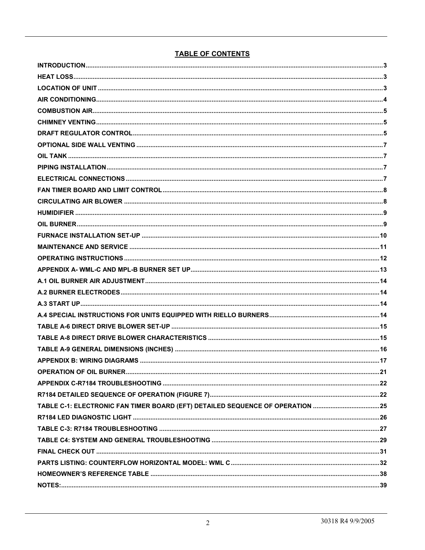#### **TABLE OF CONTENTS**

| TABLE C-1: ELECTRONIC FAN TIMER BOARD (EFT) DETAILED SEQUENCE OF OPERATION 25 |  |
|-------------------------------------------------------------------------------|--|
|                                                                               |  |
|                                                                               |  |
|                                                                               |  |
|                                                                               |  |
|                                                                               |  |
|                                                                               |  |
|                                                                               |  |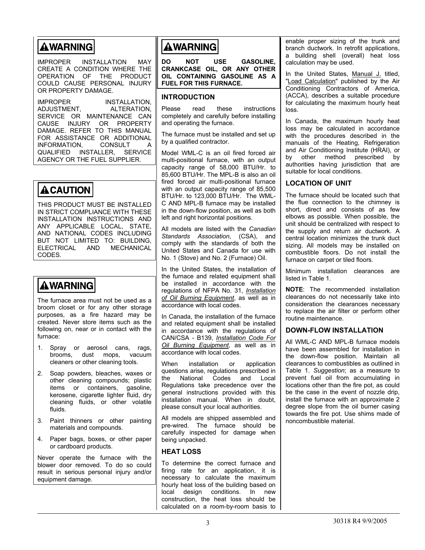# **AWARNING**

IMPROPER INSTALLATION MAY CREATE A CONDITION WHERE THE OPERATION OF THE PRODUCT COULD CAUSE PERSONAL INJURY OR PROPERTY DAMAGE.

IMPROPER INSTALLATION,<br>ADJUSTMENT. ALTERATION. ADJUSTMENT. SERVICE OR MAINTENANCE CAN CAUSE INJURY OR PROPERTY DAMAGE. REFER TO THIS MANUAL FOR ASSISTANCE OR ADDITIONAL<br>INFORMATION. CONSULT A INFORMATION, CONSULT A QUALIFIED INSTALLER, SERVICE AGENCY OR THE FUEL SUPPLIER.

# **ACAUTION**

THIS PRODUCT MUST BE INSTALLED IN STRICT COMPLIANCE WITH THESE INSTALLATION INSTRUCTIONS AND ANY APPLICABLE LOCAL, STATE, AND NATIONAL CODES INCLUDING BUT NOT LIMITED TO: BUILDING, ELECTRICAL AND MECHANICAL CODES.

# **AWARNING**

The furnace area must not be used as a broom closet or for any other storage purposes, as a fire hazard may be created. Never store items such as the following on, near or in contact with the furnace:

- 1. Spray or aerosol cans, rags, brooms, dust mops, vacuum cleaners or other cleaning tools.
- 2. Soap powders, bleaches, waxes or other cleaning compounds; plastic items or containers, gasoline, kerosene, cigarette lighter fluid, dry cleaning fluids, or other volatile fluids.
- 3. Paint thinners or other painting materials and compounds.
- 4. Paper bags, boxes, or other paper or cardboard products.

Never operate the furnace with the blower door removed. To do so could result in serious personal injury and/or equipment damage.

# **AWARNING**

**DO NOT USE GASOLINE, CRANKCASE OIL, OR ANY OTHER OIL CONTAINING GASOLINE AS A FUEL FOR THIS FURNACE.** 

#### **INTRODUCTION**

Please read these instructions completely and carefully before installing and operating the furnace.

The furnace must be installed and set up by a qualified contractor.

Model WML-C is an oil fired forced air multi-positional furnace, with an output capacity range of 58,000 BTU/Hr. to 85,600 BTU/Hr. The MPL-B is also an oil fired forced air multi-positional furnace with an output capacity range of 85,500 BTU/Hr. to 123,000 BTU/Hr. The WML-C AND MPL-B furnace may be installed in the down-flow position, as well as both left and right horizontal positions.

All models are listed with the *Canadian Standards Association*, (CSA), and comply with the standards of both the United States and Canada for use with No. 1 (Stove) and No. 2 (Furnace) Oil.

In the United States, the installation of the furnace and related equipment shall be installed in accordance with the regulations of NFPA No. 31, *Installation of Oil Burning Equipment*, as well as in accordance with local codes.

In Canada, the installation of the furnace and related equipment shall be installed in accordance with the regulations of CAN/CSA - B139, *Installation Code For Oil Burning Equipment*, as well as in accordance with local codes.

When installation or application questions arise, regulations prescribed in the National Codes and Local Regulations take precedence over the general instructions provided with this installation manual. When in doubt, please consult your local authorities.

All models are shipped assembled and pre-wired. The furnace should be carefully inspected for damage when being unpacked.

#### **HEAT LOSS**

To determine the correct furnace and firing rate for an application, it is necessary to calculate the maximum hourly heat loss of the building based on local design conditions. In new construction, the heat loss should be calculated on a room-by-room basis to enable proper sizing of the trunk and branch ductwork. In retrofit applications, a building shell (overall) heat loss calculation may be used.

In the United States, Manual J. titled, "Load Calculation" published by the Air Conditioning Contractors of America, (ACCA), describes a suitable procedure for calculating the maximum hourly heat loss.

In Canada, the maximum hourly heat loss may be calculated in accordance with the procedures described in the manuals of the Heating, Refrigeration and Air Conditioning Institute (HRAI), or by other method prescribed by authorities having jurisdiction that are suitable for local conditions.

#### **LOCATION OF UNIT**

The furnace should be located such that the flue connection to the chimney is short, direct and consists of as few elbows as possible. When possible, the unit should be centralized with respect to the supply and return air ductwork. A central location minimizes the trunk duct sizing. All models may be installed on combustible floors. Do not install the furnace on carpet or tiled floors.

Minimum installation clearances are listed in Table 1.

**NOTE**: The recommended installation clearances do not necessarily take into consideration the clearances necessary to replace the air filter or perform other routine maintenance.

#### **DOWN-FLOW INSTALLATION**

All WML-C AND MPL-B furnace models have been assembled for installation in the down-flow position. Maintain all clearances to combustibles as outlined in Table 1. *Suggestion*; as a measure to prevent fuel oil from accumulating in locations other than the fire pot, as could be the case in the event of nozzle drip, install the furnace with an approximate 2 degree slope from the oil burner casing towards the fire pot. Use shims made of noncombustible material.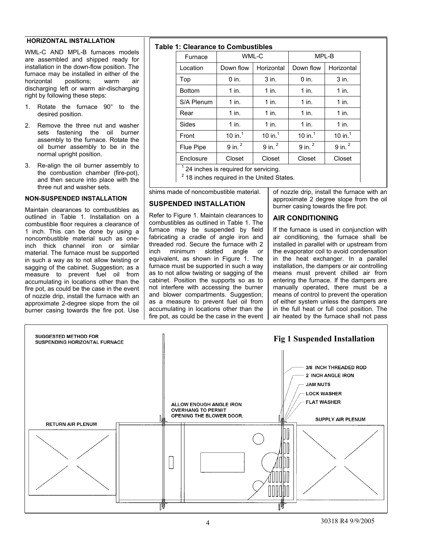#### **HORIZONTAL INSTALLATION**

WML-C AND MPL-B furnaces models are assembled and shipped ready for installation in the down-flow position. The furnace may be installed in either of the horizontal positions; warm air discharging left or warm air-discharging right by following these steps:

- 1. Rotate the furnace 90° to the desired position.
- 2. Remove the three nut and washer sets fastening the oil burner assembly to the furnace. Rotate the oil burner assembly to be in the normal upright position.
- 3. Re-align the oil burner assembly to the combustion chamber (fire-pot), and then secure into place with the three nut and washer sets.

#### **NON-SUSPENDED INSTALLATION**

Maintain clearances to combustibles as outlined in Table 1. Installation on a combustible floor requires a clearance of 1 inch. This can be done by using a noncombustible material such as oneinch thick channel iron or similar material. The furnace must be supported in such a way as to not allow twisting or sagging of the cabinet. Suggestion; as a measure to prevent fuel oil from accumulating in locations other than the fire pot, as could be the case in the event of nozzle drip, install the furnace with an approximate 2-degree slope from the oil burner casing towards the fire pot. Use



| . T. Glearance to Compusitiones |                      |                      |                      |                      |  |  |  |  |
|---------------------------------|----------------------|----------------------|----------------------|----------------------|--|--|--|--|
| Furnace                         | WML-C                |                      | MPL-B                |                      |  |  |  |  |
| Location                        | Down flow            | Horizontal           | Down flow            | Horizontal           |  |  |  |  |
| Top                             | $0$ in.              | $3$ in.              | $0$ in.              | $3$ in.              |  |  |  |  |
| <b>Bottom</b>                   | $1$ in.              | $1$ in.              | $1$ in.              | $1$ in.              |  |  |  |  |
| S/A Plenum                      | $1$ in.              | $1$ in.              | $1$ in.              | $1$ in.              |  |  |  |  |
| Rear                            | $1$ in.              | $1$ in.              | $1$ in.              | $1$ in.              |  |  |  |  |
| Sides                           | $1$ in.              | $1$ in.              | $1$ in.              | $1$ in.              |  |  |  |  |
| Front                           | 10 in. $1$           | 10 in. $1$           | 10 in. $1$           | 10 in. $1$           |  |  |  |  |
| Flue Pipe                       | $9$ in. <sup>2</sup> | $9$ in. <sup>2</sup> | $9$ in. <sup>2</sup> | $9$ in. <sup>2</sup> |  |  |  |  |
| Enclosure                       | Closet               | Closet               | Closet               | Closet               |  |  |  |  |
| $\overline{a}$                  |                      |                      |                      |                      |  |  |  |  |

1 24 inches is required for servicing.

2 18 inches required in the United States.

shims made of noncombustible material.

#### **SUSPENDED INSTALLATION**

Refer to Figure 1. Maintain clearances to combustibles as outlined in Table 1. The furnace may be suspended by field fabricating a cradle of angle iron and threaded rod. Secure the furnace with 2<br>inch minimum slotted angle or inch minimum slotted angle or equivalent, as shown in Figure 1. The furnace must be supported in such a way as to not allow twisting or sagging of the cabinet. Position the supports so as to not interfere with accessing the burner and blower compartments. Suggestion; as a measure to prevent fuel oil from accumulating in locations other than the fire pot, as could be the case in the event of nozzle drip, install the furnace with an approximate 2 degree slope from the oil burner casing towards the fire pot.

#### **AIR CONDITIONING**

If the furnace is used in conjunction with air conditioning, the furnace shall be installed in parallel with or upstream from the evaporator coil to avoid condensation in the heat exchanger. In a parallel installation, the dampers or air controlling means must prevent chilled air from entering the furnace. If the dampers are manually operated, there must be a means of control to prevent the operation of either system unless the dampers are in the full heat or full cool position. The air heated by the furnace shall not pass

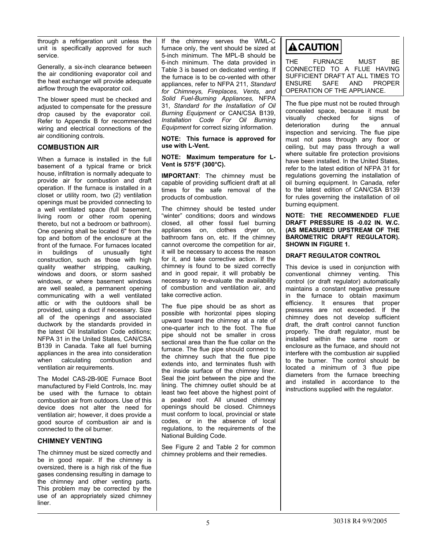through a refrigeration unit unless the unit is specifically approved for such service.

Generally, a six-inch clearance between the air conditioning evaporator coil and the heat exchanger will provide adequate airflow through the evaporator coil.

The blower speed must be checked and adjusted to compensate for the pressure drop caused by the evaporator coil. Refer to Appendix B for recommended wiring and electrical connections of the air conditioning controls.

#### **COMBUSTION AIR**

When a furnace is installed in the full basement of a typical frame or brick house, infiltration is normally adequate to provide air for combustion and draft operation. If the furnace is installed in a closet or utility room, two (2) ventilation openings must be provided connecting to a well ventilated space (full basement, living room or other room opening thereto, but not a bedroom or bathroom). One opening shall be located 6" from the top and bottom of the enclosure at the front of the furnace. For furnaces located in buildings of unusually tight construction, such as those with high quality weather stripping, caulking, windows and doors, or storm sashed windows, or where basement windows are well sealed, a permanent opening communicating with a well ventilated attic or with the outdoors shall be provided, using a duct if necessary. Size all of the openings and associated ductwork by the standards provided in the latest Oil Installation Code editions; NFPA 31 in the United States, CAN/CSA B139 in Canada. Take all fuel burning appliances in the area into consideration when calculating combustion and ventilation air requirements.

The Model CAS-2B-90E Furnace Boot manufactured by Field Controls, Inc. may be used with the furnace to obtain combustion air from outdoors. Use of this device does not alter the need for ventilation air; however, it does provide a good source of combustion air and is connected to the oil burner.

#### **CHIMNEY VENTING**

The chimney must be sized correctly and be in good repair. If the chimney is oversized, there is a high risk of the flue gases condensing resulting in damage to the chimney and other venting parts. This problem may be corrected by the use of an appropriately sized chimney liner.

If the chimney serves the WML-C furnace only, the vent should be sized at 5-inch minimum. The MPL-B should be 6-inch minimum. The data provided in Table 3 is based on dedicated venting. If the furnace is to be co-vented with other appliances, refer to NFPA 211, *Standard for Chimneys, Fireplaces, Vents, and Solid Fuel-Burning Appliances,* NFPA 31, *Standard for the Installation of Oil Burning Equipment* or CAN/CSA B139, *Installation Code For Oil Burning Equipment* for correct sizing information.

**NOTE: This furnace is approved for use with L-Vent.** 

#### **NOTE: Maximum temperature for L-Vent is 575°F (300°C).**

**IMPORTANT**: The chimney must be capable of providing sufficient draft at all times for the safe removal of the products of combustion.

The chimney should be tested under "winter" conditions; doors and windows closed, all other fossil fuel burning appliances on, clothes dryer on, bathroom fans on, etc. If the chimney cannot overcome the competition for air, it will be necessary to access the reason for it, and take corrective action. If the chimney is found to be sized correctly and in good repair, it will probably be necessary to re-evaluate the availability of combustion and ventilation air, and take corrective action.

The flue pipe should be as short as possible with horizontal pipes sloping upward toward the chimney at a rate of one-quarter inch to the foot. The flue pipe should not be smaller in cross sectional area than the flue collar on the furnace. The flue pipe should connect to the chimney such that the flue pipe extends into, and terminates flush with the inside surface of the chimney liner. Seal the joint between the pipe and the lining. The chimney outlet should be at least two feet above the highest point of a peaked roof. All unused chimney openings should be closed. Chimneys must conform to local, provincial or state codes, or in the absence of local regulations, to the requirements of the National Building Code.

See Figure 2 and Table 2 for common chimney problems and their remedies.

# **ACAUTION**

THE FURNACE MUST BE CONNECTED TO A FLUE HAVING SUFFICIENT DRAFT AT ALL TIMES TO ENSURE SAFE AND PROPER OPERATION OF THE APPLIANCE.

The flue pipe must not be routed through concealed space, because it must be<br>visually checked for signs of visually checked for signs of<br>deterioration during the annual deterioration during the annual inspection and servicing. The flue pipe must not pass through any floor or ceiling, but may pass through a wall where suitable fire protection provisions have been installed. In the United States, refer to the latest edition of NFPA 31 for regulations governing the installation of oil burning equipment. In Canada, refer to the latest edition of CAN/CSA B139 for rules governing the installation of oil burning equipment.

**NOTE: THE RECOMMENDED FLUE DRAFT PRESSURE IS -0.02 IN. W.C. (AS MEASURED UPSTREAM OF THE BAROMETRIC DRAFT REGULATOR). SHOWN IN FIGURE 1.** 

#### **DRAFT REGULATOR CONTROL**

This device is used in conjunction with conventional chimney venting. This control (or draft regulator) automatically maintains a constant negative pressure in the furnace to obtain maximum efficiency. It ensures that proper pressures are not exceeded. If the chimney does not develop sufficient draft, the draft control cannot function properly. The draft regulator, must be installed within the same room or enclosure as the furnace, and should not interfere with the combustion air supplied to the burner. The control should be located a minimum of 3 flue pipe diameters from the furnace breeching and installed in accordance to the instructions supplied with the regulator.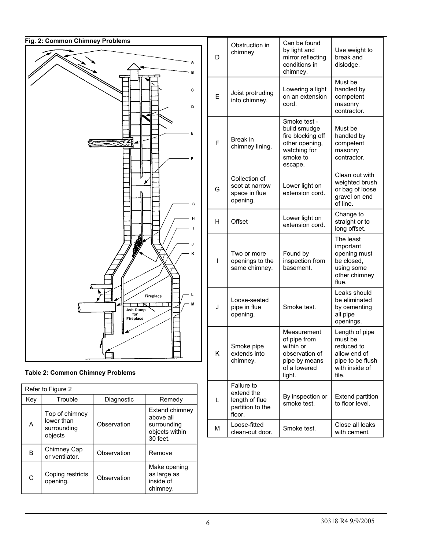

|  | <b>Table 2: Common Chimney Problems</b> |
|--|-----------------------------------------|
|--|-----------------------------------------|

|     | Refer to Figure 2                                      |             |                                                                          |  |  |  |  |
|-----|--------------------------------------------------------|-------------|--------------------------------------------------------------------------|--|--|--|--|
| Key | Trouble                                                | Diagnostic  | Remedy                                                                   |  |  |  |  |
| A   | Top of chimney<br>lower than<br>surrounding<br>objects | Observation | Extend chimney<br>above all<br>surrounding<br>objects within<br>30 feet. |  |  |  |  |
| В   | Chimney Cap<br>or ventilator.                          | Observation | Remove                                                                   |  |  |  |  |
| C   | Coping restricts<br>opening.                           | Observation | Make opening<br>as large as<br>inside of<br>chimney.                     |  |  |  |  |

| D | Obstruction in<br>chimney                                                | Can be found<br>by light and<br>mirror reflecting<br>conditions in<br>chimney.                             | Use weight to<br>break and<br>dislodge.                                                                |
|---|--------------------------------------------------------------------------|------------------------------------------------------------------------------------------------------------|--------------------------------------------------------------------------------------------------------|
| E | Joist protruding<br>into chimney.                                        | Lowering a light<br>on an extension<br>cord.                                                               | Must be<br>handled by<br>competent<br>masonry<br>contractor.                                           |
| F | Break in<br>chimney lining.                                              | Smoke test -<br>build smudge<br>fire blocking off<br>other opening,<br>watching for<br>smoke to<br>escape. | Must be<br>handled by<br>competent<br>masonry<br>contractor.                                           |
| G | Collection of<br>soot at narrow<br>space in flue<br>opening.             | Lower light on<br>extension cord.                                                                          | Clean out with<br>weighted brush<br>or bag of loose<br>gravel on end<br>of line.                       |
| н | Offset                                                                   | Lower light on<br>extension cord.                                                                          | Change to<br>straight or to<br>long offset.                                                            |
| I | Two or more<br>openings to the<br>same chimney.                          | Found by<br>inspection from<br>basement.                                                                   | The least<br>important<br>opening must<br>be closed,<br>using some<br>other chimney<br>flue.           |
| J | Loose-seated<br>pipe in flue<br>opening.                                 | Smoke test.                                                                                                | Leaks should<br>be eliminated<br>by cementing<br>all pipe<br>openings.                                 |
| Κ | Smoke pipe<br>extends into<br>chimney.                                   | Measurement<br>of pipe from<br>within or<br>observation of<br>pipe by means<br>of a lowered<br>light.      | Length of pipe<br>must be<br>reduced to<br>allow end of<br>pipe to be flush<br>with inside of<br>tile. |
| Г | Failure to<br>extend the<br>length of flue<br>partition to the<br>floor. | By inspection or<br>smoke test.                                                                            | <b>Extend partition</b><br>to floor level.                                                             |
| M | Loose-fitted<br>clean-out door.                                          | Smoke test.                                                                                                | Close all leaks<br>with cement.                                                                        |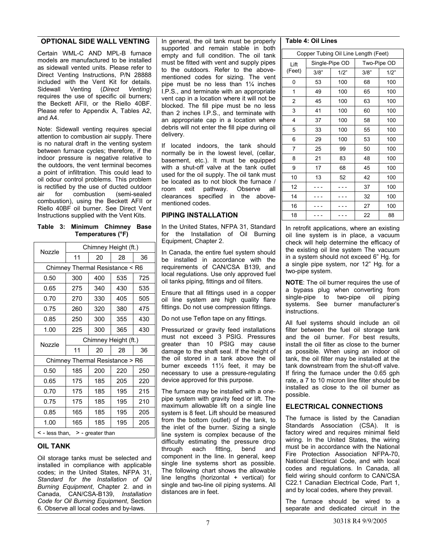#### **OPTIONAL SIDE WALL VENTING**

Certain WML-C AND MPL-B furnace models are manufactured to be installed as sidewall vented units. Please refer to Direct Venting Instructions, P/N 28888 included with the Vent Kit for details. Sidewall Venting (*Direct Venting*) requires the use of specific oil burners; the Beckett AFII, or the Riello 40BF. Please refer to Appendix A, Tables A2, and A4.

Note: Sidewall venting requires special attention to combustion air supply. There is no natural draft in the venting system between furnace cycles; therefore, if the indoor pressure is negative relative to the outdoors, the vent terminal becomes a point of infiltration. This could lead to oil odour control problems. This problem is rectified by the use of ducted outdoor air for combustion (semi-sealed combustion), using the Beckett AFII or Riello 40BF oil burner. See Direct Vent Instructions supplied with the Vent Kits.

**Table 3: Minimum Chimney Base Temperatures (°F)** 

|                                           | Chimney Height (ft.)            |     |     |     |  |  |
|-------------------------------------------|---------------------------------|-----|-----|-----|--|--|
| Nozzle                                    | 11<br>28<br>20                  |     |     | 36  |  |  |
|                                           | Chimney Thermal Resistance < R6 |     |     |     |  |  |
| 0.50                                      | 300                             | 400 | 535 | 725 |  |  |
| 0.65                                      | 275                             | 340 | 430 | 535 |  |  |
| 0.70                                      | 270                             | 330 | 405 | 505 |  |  |
| 0.75                                      | 260                             | 320 | 380 | 475 |  |  |
| 0.85                                      | 250                             | 300 | 355 | 430 |  |  |
| 1.00                                      | 225                             | 300 | 365 | 430 |  |  |
| Nozzle                                    | Chimney Height (ft.)            |     |     |     |  |  |
|                                           | 11                              | 20  | 28  | 36  |  |  |
|                                           | Chimney Thermal Resistance > R6 |     |     |     |  |  |
| 0.50                                      | 185                             | 200 | 220 | 250 |  |  |
| 0.65                                      | 175                             | 185 | 205 | 220 |  |  |
| 0.70                                      | 175                             | 185 | 195 | 215 |  |  |
| 0.75                                      | 175                             | 185 | 195 | 210 |  |  |
| 0.85                                      | 165                             | 185 | 195 | 205 |  |  |
| 1.00                                      | 165                             | 185 | 195 | 205 |  |  |
| $\leq$ - less than, $\geq$ - greater than |                                 |     |     |     |  |  |

#### **OIL TANK**

Oil storage tanks must be selected and installed in compliance with applicable codes; in the United States, NFPA 31, *Standard for the Installation of Oil Burning Equipment*, Chapter 2. and in Canada, CAN/CSA-B139, *Installation Code for Oil Burning Equipment*, Section 6. Observe all local codes and by-laws.

In general, the oil tank must be properly supported and remain stable in both empty and full condition. The oil tank must be fitted with vent and supply pipes to the outdoors. Refer to the abovementioned codes for sizing. The vent pipe must be no less than 1¼ inches I.P.S., and terminate with an appropriate vent cap in a location where it will not be blocked. The fill pipe must be no less than 2 inches I.P.S., and terminate with an appropriate cap in a location where debris will not enter the fill pipe during oil delivery.

If located indoors, the tank should normally be in the lowest level, (cellar, basement, etc.). It must be equipped with a shut-off valve at the tank outlet used for the oil supply. The oil tank must be located as to not block the furnace / room exit pathway. Observe all clearances specified in the abovementioned codes.

#### **PIPING INSTALLATION**

In the United States, NFPA 31, Standard for the Installation of Oil Burning Equipment, Chapter 2.

In Canada, the entire fuel system should be installed in accordance with the requirements of CAN/CSA B139, and local regulations. Use only approved fuel oil tanks piping, fittings and oil filters.

Ensure that all fittings used in a copper oil line system are high quality flare fittings. Do not use compression fittings.

Do not use Teflon tape on any fittings.

Pressurized or gravity feed installations must not exceed 3 PSIG. Pressures greater than 10 PSIG may cause damage to the shaft seal. If the height of the oil stored in a tank above the oil burner exceeds 11½ feet, it may be necessary to use a pressure-regulating device approved for this purpose.

The furnace may be installed with a onepipe system with gravity feed or lift. The maximum allowable lift on a single line system is 8 feet. Lift should be measured from the bottom (outlet) of the tank, to the inlet of the burner. Sizing a single line system is complex because of the difficulty estimating the pressure drop through each fitting, bend and component in the line. In general, keep single line systems short as possible. The following chart shows the allowable line lengths (horizontal + vertical) for single and two-line oil piping systems. All distances are in feet.

#### **Table 4: Oil Lines**

| Copper Tubing Oil Line Length (Feet) |      |                |             |      |  |  |
|--------------------------------------|------|----------------|-------------|------|--|--|
| Lift                                 |      | Single-Pipe OD | Two-Pipe OD |      |  |  |
| (Feet)                               | 3/8" | 1/2"           | 3/8"        | 1/2" |  |  |
| 0                                    | 53   | 100            | 68          | 100  |  |  |
| 1                                    | 49   | 100            | 65          | 100  |  |  |
| $\overline{2}$                       | 45   | 100            | 63          | 100  |  |  |
| 3                                    | 41   | 100            | 60          | 100  |  |  |
| 4                                    | 37   | 100            | 58          | 100  |  |  |
| 5                                    | 33   | 100            | 55          | 100  |  |  |
| 6                                    | 29   | 100            | 53          | 100  |  |  |
| $\overline{7}$                       | 25   | 99             | 50          | 100  |  |  |
| 8                                    | 21   | 83             | 48          | 100  |  |  |
| 9                                    | 17   | 68             | 45          | 100  |  |  |
| 10                                   | 13   | 52             | 42          | 100  |  |  |
| 12                                   |      |                | 37          | 100  |  |  |
| 14                                   |      |                | 32          | 100  |  |  |
| 16                                   |      |                | 27          | 100  |  |  |
| 18                                   |      |                | 22          | 88   |  |  |

In retrofit applications, where an existing oil line system is in place, a vacuum check will help determine the efficacy of the existing oil line system The vacuum in a system should not exceed 6" Hg. for a single pipe system, nor 12" Hg. for a two-pipe system.

**NOTE**: The oil burner requires the use of a bypass plug when converting from single-pipe to two-pipe oil piping systems. See burner manufacturer's instructions.

All fuel systems should include an oil filter between the fuel oil storage tank and the oil burner. For best results, install the oil filter as close to the burner as possible. When using an indoor oil tank, the oil filter may be installed at the tank downstream from the shut-off valve. If firing the furnace under the 0.65 gph rate, a 7 to 10 micron line filter should be installed as close to the oil burner as possible.

#### **ELECTRICAL CONNECTIONS**

The furnace is listed by the Canadian Standards Association (CSA). It is factory wired and requires minimal field wiring. In the United States, the wiring must be in accordance with the National Fire Protection Association NFPA-70, National Electrical Code, and with local codes and regulations. In Canada, all field wiring should conform to CAN/CSA C22.1 Canadian Electrical Code, Part 1, and by local codes, where they prevail.

The furnace should be wired to a separate and dedicated circuit in the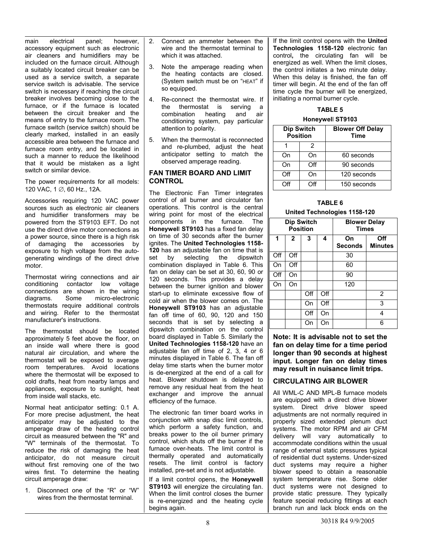main electrical panel; however, accessory equipment such as electronic air cleaners and humidifiers may be included on the furnace circuit. Although a suitably located circuit breaker can be used as a service switch, a separate service switch is advisable. The service switch is necessary if reaching the circuit breaker involves becoming close to the furnace, or if the furnace is located between the circuit breaker and the means of entry to the furnace room. The furnace switch (service switch) should be clearly marked, installed in an easily accessible area between the furnace and furnace room entry, and be located in such a manner to reduce the likelihood that it would be mistaken as a light switch or similar device.

The power requirements for all models: 120 VAC, 1 ∅, 60 Hz., 12A.

Accessories requiring 120 VAC power sources such as electronic air cleaners and humidifier transformers may be powered from the ST9103 EFT. Do not use the direct drive motor connections as a power source, since there is a high risk of damaging the accessories by exposure to high voltage from the autogenerating windings of the direct drive motor.

Thermostat wiring connections and air conditioning contactor low voltage connections are shown in the wiring diagrams. Some micro-electronic thermostats require additional controls and wiring. Refer to the thermostat manufacturer's instructions.

The thermostat should be located approximately 5 feet above the floor, on an inside wall where there is good natural air circulation, and where the thermostat will be exposed to average room temperatures. Avoid locations where the thermostat will be exposed to cold drafts, heat from nearby lamps and appliances, exposure to sunlight, heat from inside wall stacks, etc.

Normal heat anticipator setting: 0.1 A. For more precise adjustment, the heat anticipator may be adjusted to the amperage draw of the heating control circuit as measured between the "R" and "W" terminals of the thermostat. To reduce the risk of damaging the heat anticipator, do not measure circuit without first removing one of the two wires first. To determine the heating circuit amperage draw:

1. Disconnect one of the "R" or "W" wires from the thermostat terminal.

- 2. Connect an ammeter between the wire and the thermostat terminal to which it was attached.
- 3. Note the amperage reading when the heating contacts are closed. (System switch must be on "HEAT" if so equipped.
- 4. Re-connect the thermostat wire. If the thermostat is serving a combination heating and air conditioning system, pay particular attention to polarity.
- 5. When the thermostat is reconnected and re-plumbed, adjust the heat anticipator setting to match the observed amperage reading.

#### **FAN TIMER BOARD AND LIMIT CONTROL**

The Electronic Fan Timer integrates control of all burner and circulator fan operations. This control is the central wiring point for most of the electrical components in the furnace. The **Honeywel**l **ST9103** has a fixed fan delay on time of 30 seconds after the burner ignites. The **United Technologies 1158- 120** has an adjustable fan on time that is set by selecting the dipswitch selecting the dipswitch combination displayed in Table 6. This fan on delay can be set at 30, 60, 90 or 120 seconds. This provides a delay between the burner ignition and blower start-up to eliminate excessive flow of cold air when the blower comes on. The **Honeywell ST9103** has an adjustable fan off time of 60, 90, 120 and 150 seconds that is set by selecting a dipswitch combination on the control board displayed in Table 5. Similarly the **United Technologies 1158-120** have an adjustable fan off time of 2, 3, 4 or 6 minutes displayed in Table 6. The fan off delay time starts when the burner motor is de-energized at the end of a call for heat. Blower shutdown is delayed to remove any residual heat from the heat exchanger and improve the annual efficiency of the furnace.

The electronic fan timer board works in conjunction with snap disc limit controls, which perform a safety function, and breaks power to the oil burner primary control, which shuts off the burner if the furnace over-heats. The limit control is thermally operated and automatically resets. The limit control is factory installed, pre-set and is not adjustable.

If a limit control opens, the **Honeywell ST9103** will energize the circulating fan. When the limit control closes the burner is re-energized and the heating cycle begins again.

If the limit control opens with the **United Technologies 1158-120** electronic fan control**,** the circulating fan will be energized as well. When the limit closes, the control initiates a two minute delay. When this delay is finished, the fan off timer will begin. At the end of the fan off time cycle the burner will be energized, initiating a normal burner cycle.

#### **TABLE 5**

#### **Honeywel**l **ST9103**

|     | <b>Dip Switch</b><br><b>Position</b> | <b>Blower Off Delay</b><br><b>Time</b> |
|-----|--------------------------------------|----------------------------------------|
| 2   |                                      |                                        |
| On  | On                                   | 60 seconds                             |
| On  | Off                                  | 90 seconds                             |
| Off | On                                   | 120 seconds                            |
| Off | ∩ff                                  | 150 seconds                            |

#### **TABLE 6**

#### **United Technologies 1158-120**

|     | Dip Switch   | <b>Position</b> |     | <b>Blower Delay</b><br><b>Times</b> |                       |
|-----|--------------|-----------------|-----|-------------------------------------|-----------------------|
| 1   | $\mathbf{2}$ | 3               | 4   | On<br><b>Seconds</b>                | Off<br><b>Minutes</b> |
| Off | Off          |                 |     | 30                                  |                       |
| On  | Off          |                 |     | 60                                  |                       |
| Off | On           |                 |     | 90                                  |                       |
| On  | On           |                 |     | 120                                 |                       |
|     |              | Off             | Off |                                     | $\overline{2}$        |
|     |              | On              | Off |                                     | 3                     |
|     |              | Off             | On  |                                     | 4                     |
|     |              | On              | On  |                                     | 6                     |

**Note: It is advisable not to set the fan on delay time for a time period longer than 90 seconds at highest input. Longer fan on delay times may result in nuisance limit trips.** 

#### **CIRCULATING AIR BLOWER**

All WML-C AND MPL-B furnace models are equipped with a direct drive blower system. Direct drive blower speed adiustments are not normally required in properly sized extended plenum duct systems. The motor RPM and air CFM delivery will vary automatically to accommodate conditions within the usual range of external static pressures typical of residential duct systems. Under-sized duct systems may require a higher blower speed to obtain a reasonable system temperature rise. Some older duct systems were not designed to provide static pressure. They typically feature special reducing fittings at each branch run and lack block ends on the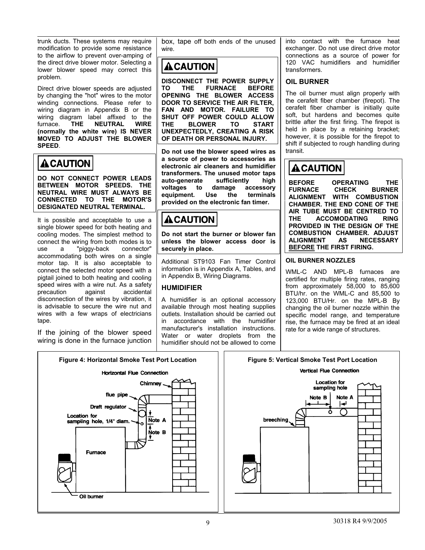trunk ducts. These systems may require modification to provide some resistance to the airflow to prevent over-amping of the direct drive blower motor. Selecting a lower blower speed may correct this problem.

Direct drive blower speeds are adjusted by changing the "hot" wires to the motor winding connections. Please refer to wiring diagram in Appendix B or the wiring diagram label affixed to the furnace. **THE NEUTRAL WIRE (normally the white wire) IS NEVER MOVED TO ADJUST THE BLOWER SPEED**.

# **ACAUTION**

**DO NOT CONNECT POWER LEADS BETWEEN MOTOR SPEEDS. THE NEUTRAL WIRE MUST ALWAYS BE CONNECTED TO THE MOTOR'S DESIGNATED NEUTRAL TERMINAL.** 

It is possible and acceptable to use a single blower speed for both heating and cooling modes. The simplest method to connect the wiring from both modes is to use a "piggy-back connector" accommodating both wires on a single motor tap. It is also acceptable to connect the selected motor speed with a pigtail joined to both heating and cooling speed wires with a wire nut. As a safety precaution against accidental disconnection of the wires by vibration, it is advisable to secure the wire nut and wires with a few wraps of electricians tape.

If the joining of the blower speed wiring is done in the furnace junction



box, tape off both ends of the unused wire.

# **ACAUTION**

**DISCONNECT THE POWER SUPPLY TO THE FURNACE BEFORE OPENING THE BLOWER ACCESS DOOR TO SERVICE THE AIR FILTER, FAN AND MOTOR. FAILURE TO SHUT OFF POWER COULD ALLOW THE BLOWER TO START UNEXPECTEDLY, CREATING A RISK OF DEATH OR PERSONAL INJURY.** 

**Do not use the blower speed wires as a source of power to accessories as electronic air cleaners and humidifier transformers. The unused motor taps auto-generate sufficiently high voltages to damage accessory equipment. Use the terminals provided on the electronic fan timer.** 

# **ALCAUTION**

**Do not start the burner or blower fan unless the blower access door is securely in place.** 

Additional ST9103 Fan Timer Control information is in Appendix A, Tables, and in Appendix B, Wiring Diagrams.

#### **HUMIDIFIER**

A humidifier is an optional accessory available through most heating supplies outlets. Installation should be carried out in accordance with the humidifier manufacturer's installation instructions. Water or water droplets from the humidifier should not be allowed to come

into contact with the furnace heat exchanger. Do not use direct drive motor connections as a source of power for 120 VAC humidifiers and humidifier transformers.

#### **OIL BURNER**

The oil burner must align properly with the cerafelt fiber chamber (firepot). The cerafelt fiber chamber is initially quite soft, but hardens and becomes quite brittle after the first firing. The firepot is held in place by a retaining bracket; however, it is possible for the firepot to shift if subjected to rough handling during transit.

# **ACAUTION**

**BEFORE OPERATING THE FURNACE CHECK BURNER ALIGNMENT WITH COMBUSTION CHAMBER. THE END CONE OF THE AIR TUBE MUST BE CENTRED TO THE ACCOMODATING RING PROVIDED IN THE DESIGN OF THE COMBUSTION CHAMBER. ADJUST ALIGNMENT AS NECESSARY BEFORE THE FIRST FIRING.** 

#### **OIL BURNER NOZZLES**

WML-C AND MPL-B furnaces are certified for multiple firing rates, ranging from approximately 58,000 to 85,600 BTU/hr. on the WML-C and 85,500 to 123,000 BTU/Hr. on the MPL-B By changing the oil burner nozzle within the specific model range, and temperature rise, the furnace may be fired at an ideal rate for a wide range of structures.

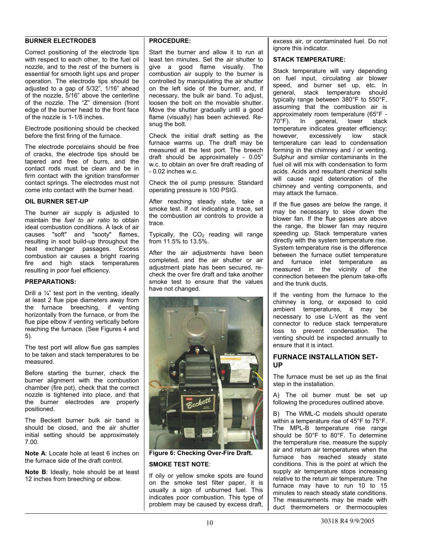#### **BURNER ELECTRODES**

Correct positioning of the electrode tips with respect to each other, to the fuel oil nozzle, and to the rest of the burners is essential for smooth light ups and proper operation. The electrode tips should be adjusted to a gap of 5/32", 1/16" ahead of the nozzle, 5/16" above the centerline of the nozzle. The "Z" dimension (front edge of the burner head to the front face of the nozzle is 1-1/8 inches.

Electrode positioning should be checked before the first firing of the furnace.

The electrode porcelains should be free of cracks, the electrode tips should be tapered and free of burrs, and the contact rods must be clean and be in firm contact with the ignition transformer contact springs. The electrodes must not come into contact with the burner head.

#### **OIL BURNER SET-UP**

The burner air supply is adjusted to maintain the *fuel to air ratio* to obtain ideal combustion conditions. A lack of air causes "soft" and "sooty" flames, resulting in soot build-up throughout the heat exchanger passages. Excess combustion air causes a bright roaring fire and high stack temperatures resulting in poor fuel efficiency.

#### **PREPARATIONS:**

Drill a  $\frac{1}{4}$ " test port in the venting, ideally at least 2 flue pipe diameters away from the furnace breeching, if venting horizontally from the furnace, or from the flue pipe elbow if venting vertically before reaching the furnace. (See Figures 4 and 5).

The test port will allow flue gas samples to be taken and stack temperatures to be measured.

Before starting the burner, check the burner alignment with the combustion chamber (fire pot), check that the correct nozzle is tightened into place, and that the burner electrodes are properly positioned.

The Beckett burner bulk air band is should be closed, and the air shutter initial setting should be approximately 7.00.

**Note A**: Locate hole at least 6 inches on the furnace side of the draft control.

**Note B**: Ideally, hole should be at least 12 inches from breeching or elbow.

#### **PROCEDURE:**

Start the burner and allow it to run at least ten minutes. Set the air shutter to give a good flame visually. The combustion air supply to the burner is controlled by manipulating the air shutter on the left side of the burner, and, if necessary, the bulk air band. To adjust, loosen the bolt on the movable shutter. Move the shutter gradually until a good flame (visually) has been achieved. Resnug the bolt.

Check the initial draft setting as the furnace warms up. The draft may be measured at the test port. The breech draft should be approximately - 0.05" w.c. to obtain an over fire draft reading of - 0.02 inches w.c.

Check the oil pump pressure. Standard operating pressure is 100 PSIG.

After reaching steady state, take a smoke test. If not indicating a trace, set the combustion air controls to provide a trace.

Typically, the  $CO<sub>2</sub>$  reading will range from 11.5% to 13.5%.

After the air adjustments have been completed, and the air shutter or air adjustment plate has been secured, recheck the over fire draft and take another smoke test to ensure that the values have not changed.



**Figure 6: Checking Over-Fire Draft.** 

#### **SMOKE TEST NOTE**:

If oily or yellow smoke spots are found on the smoke test filter paper, it is usually a sign of unburned fuel. This indicates poor combustion. This type of problem may be caused by excess draft, excess air, or contaminated fuel. Do not ignore this indicator.

#### **STACK TEMPERATURE:**

Stack temperature will vary depending on fuel input, circulating air blower speed, and burner set up, etc. In general, stack temperature should typically range between 380°F to 550°F, assuming that the combustion air is approximately room temperature (65°F - 70°F). In general, lower stack temperature indicates greater efficiency; however, excessively low stack temperature can lead to condensation forming in the chimney and / or venting. Sulphur and similar contaminants in the fuel oil will mix with condensation to form acids. Acids and resultant chemical salts will cause rapid deterioration of the chimney and venting components, and may attack the furnace.

If the flue gases are below the range, it may be necessary to slow down the blower fan. If the flue gases are above the range, the blower fan may require speeding up. Stack temperature varies directly with the system temperature rise. System temperature rise is the difference between the furnace outlet temperature and furnace inlet temperature as measured in the vicinity of the connection between the plenum take-offs and the trunk ducts.

If the venting from the furnace to the chimney is long, or exposed to cold ambient temperatures, it may be necessary to use L-Vent as the vent connector to reduce stack temperature loss to prevent condensation. The venting should be inspected annually to ensure that it is intact.

#### **FURNACE INSTALLATION SET-UP**

The furnace must be set up as the final step in the installation.

A) The oil burner must be set up following the procedures outlined above.

B) The WML-C models should operate within a temperature rise of 45°F to 75°F. The MPL-B temperature rise range should be 50°F to 80°F. To determine the temperature rise, measure the supply air and return air temperatures when the furnace has reached steady state conditions. This is the point at which the supply air temperature stops increasing relative to the return air temperature. The furnace may have to run 10 to 15 minutes to reach steady state conditions. The measurements may be made with duct thermometers or thermocouples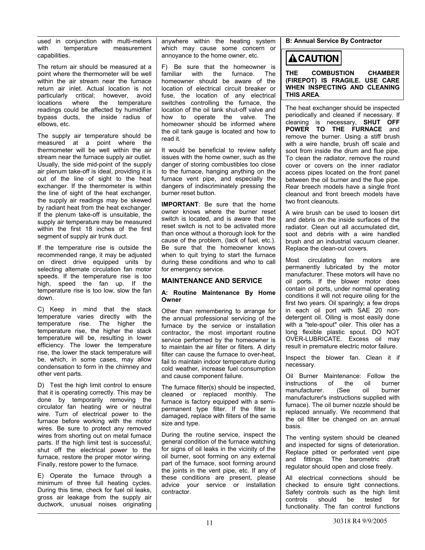used in conjunction with multi-meters with temperature measurement capabilities.

The return air should be measured at a point where the thermometer will be well within the air stream near the furnace return air inlet. Actual location is not particularly critical; however, avoid locations where the temperature readings could be affected by humidifier bypass ducts, the inside radius of elbows, etc.

The supply air temperature should be measured at a point where the thermometer will be well within the air stream near the furnace supply air outlet. Usually, the side mid-point of the supply air plenum take-off is ideal, providing it is out of the line of sight to the heat exchanger. If the thermometer is within the line of sight of the heat exchanger, the supply air readings may be skewed by radiant heat from the heat exchanger. If the plenum take-off is unsuitable, the supply air temperature may be measured within the first 18 inches of the first segment of supply air trunk duct.

If the temperature rise is outside the recommended range, it may be adjusted on direct drive equipped units by selecting alternate circulation fan motor speeds. If the temperature rise is too high, speed the fan up. If the temperature rise is too low, slow the fan down.

C) Keep in mind that the stack temperature varies directly with the temperature rise. The higher the temperature rise, the higher the stack temperature will be, resulting in lower efficiency. The lower the temperature rise, the lower the stack temperature will be, which, in some cases, may allow condensation to form in the chimney and other vent parts.

D) Test the high limit control to ensure that it is operating correctly. This may be done by temporarily removing the circulator fan heating wire or neutral wire. Turn of electrical power to the furnace before working with the motor wires. Be sure to protect any removed wires from shorting out on metal furnace parts. If the high limit test is successful, shut off the electrical power to the furnace, restore the proper motor wiring. Finally, restore power to the furnace.

E) Operate the furnace through a minimum of three full heating cycles. During this time, check for fuel oil leaks, gross air leakage from the supply air ductwork, unusual noises originating anywhere within the heating system which may cause some concern or annoyance to the home owner, etc.

F) Be sure that the homeowner is familiar with the furnace. The homeowner should be aware of the location of electrical circuit breaker or fuse, the location of any electrical switches controlling the furnace, the location of the oil tank shut-off valve and how to operate the valve. The homeowner should be informed where the oil tank gauge is located and how to read it.

It would be beneficial to review safety issues with the home owner, such as the danger of storing combustibles too close to the furnace, hanging anything on the furnace vent pipe, and especially the dangers of indiscriminately pressing the burner reset button.

**IMPORTANT**: Be sure that the home owner knows where the burner reset switch is located, and is aware that the reset switch is not to be activated more than once without a thorough look for the cause of the problem, (lack of fuel, etc.). Be sure that the homeowner knows when to quit trying to start the furnace during these conditions and who to call for emergency service.

#### **MAINTENANCE AND SERVICE**

#### **A: Routine Maintenance By Home Owner**

Other than remembering to arrange for the annual professional servicing of the furnace by the service or installation contractor, the most important routine service performed by the homeowner is to maintain the air filter or filters. A dirty filter can cause the furnace to over-heat, fail to maintain indoor temperature during cold weather, increase fuel consumption and cause component failure.

The furnace filter(s) should be inspected, cleaned or replaced monthly. The furnace is factory equipped with a semipermanent type filter. If the filter is damaged, replace with filters of the same size and type.

During the routine service, inspect the general condition of the furnace watching for signs of oil leaks in the vicinity of the oil burner, soot forming on any external part of the furnace, soot forming around the joints in the vent pipe, etc. If any of these conditions are present, please advice your service or installation contractor.

**B: Annual Service By Contractor** 

### **ACAUTION**

**THE COMBUSTION CHAMBER (FIREPOT) IS FRAGILE. USE CARE WHEN INSPECTING AND CLEANING THIS AREA**.

The heat exchanger should be inspected periodically and cleaned if necessary. If cleaning is necessary, **SHUT OFF POWER TO THE FURNACE** and remove the burner. Using a stiff brush with a wire handle, brush off scale and soot from inside the drum and flue pipe. To clean the radiator, remove the round cover or covers on the inner radiator access pipes located on the front panel between the oil burner and the flue pipe. Rear breech models have a single front cleanout and front breech models have two front cleanouts.

A wire brush can be used to loosen dirt and debris on the inside surfaces of the radiator. Clean out all accumulated dirt, soot and debris with a wire handled brush and an industrial vacuum cleaner. Replace the clean-out covers.

Most circulating fan motors are permanently lubricated by the motor manufacturer. These motors will have no oil ports. If the blower motor does contain oil ports, under normal operating conditions it will not require oiling for the first two years. Oil sparingly; a few drops in each oil port with SAE 20 nondetergent oil. Oiling is most easily done with a "tele-spout" oiler. This oiler has a long flexible plastic spout. DO NOT OVER-LUBRICATE. Excess oil may result in premature electric motor failure.

Inspect the blower fan. Clean it if necessary.

Oil Burner Maintenance: Follow the instructions of the oil burner<br>manufacturer. (See oil burner manufacturer. (See oil burner manufacturer's instructions supplied with furnace). The oil burner nozzle should be replaced annually. We recommend that the oil filter be changed on an annual basis.

The venting system should be cleaned and inspected for signs of deterioration. Replace pitted or perforated vent pipe and fittings. The barometric draft regulator should open and close freely.

All electrical connections should be checked to ensure tight connections. Safety controls such as the high limit controls should be tested for functionality. The fan control functions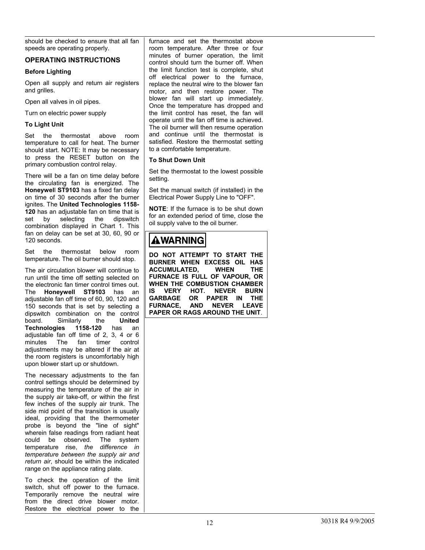should be checked to ensure that all fan speeds are operating properly.

#### **OPERATING INSTRUCTIONS**

#### **Before Lighting**

Open all supply and return air registers and grilles.

Open all valves in oil pipes.

Turn on electric power supply

#### **To Light Unit**

Set the thermostat above room temperature to call for heat. The burner should start. NOTE: It may be necessary to press the RESET button on the primary combustion control relay.

There will be a fan on time delay before the circulating fan is energized. The **Honeywel**l **ST9103** has a fixed fan delay on time of 30 seconds after the burner ignites. The **United Technologies 1158- 120** has an adjustable fan on time that is set by selecting the dipswitch combination displayed in Chart 1. This fan on delay can be set at 30, 60, 90 or 120 seconds.

Set the thermostat below room temperature. The oil burner should stop.

The air circulation blower will continue to run until the time off setting selected on the electronic fan timer control times out. The **Honeywell ST9103** has an adjustable fan off time of 60, 90, 120 and 150 seconds that is set by selecting a dipswitch combination on the control board. Similarly the **United Technologies 1158-120** has an adjustable fan off time of 2, 3, 4 or 6 minutes The fan timer control adjustments may be altered if the air at the room registers is uncomfortably high upon blower start up or shutdown.

The necessary adjustments to the fan control settings should be determined by measuring the temperature of the air in the supply air take-off, or within the first few inches of the supply air trunk. The side mid point of the transition is usually ideal, providing that the thermometer probe is beyond the "line of sight" wherein false readings from radiant heat could be observed. The system temperature rise, *the difference in temperature between the supply air and return air*, should be within the indicated range on the appliance rating plate.

To check the operation of the limit switch, shut off power to the furnace. Temporarily remove the neutral wire from the direct drive blower motor. Restore the electrical power to the

furnace and set the thermostat above room temperature. After three or four minutes of burner operation, the limit control should turn the burner off. When the limit function test is complete, shut off electrical power to the furnace, replace the neutral wire to the blower fan motor, and then restore power. The blower fan will start up immediately. Once the temperature has dropped and the limit control has reset, the fan will operate until the fan off time is achieved. The oil burner will then resume operation and continue until the thermostat is satisfied. Restore the thermostat setting to a comfortable temperature.

#### **To Shut Down Unit**

Set the thermostat to the lowest possible setting.

Set the manual switch (if installed) in the Electrical Power Supply Line to "OFF".

**NOTE**: If the furnace is to be shut down for an extended period of time, close the oil supply valve to the oil burner.

# **AWARNING**

**DO NOT ATTEMPT TO START THE BURNER WHEN EXCESS OIL HAS ACCUMULATED, WHEN THE FURNACE IS FULL OF VAPOUR, OR WHEN THE COMBUSTION CHAMBER IS VERY HOT. NEVER BURN GARBAGE OR PAPER IN THE FURNACE, AND NEVER LEAVE PAPER OR RAGS AROUND THE UNIT**.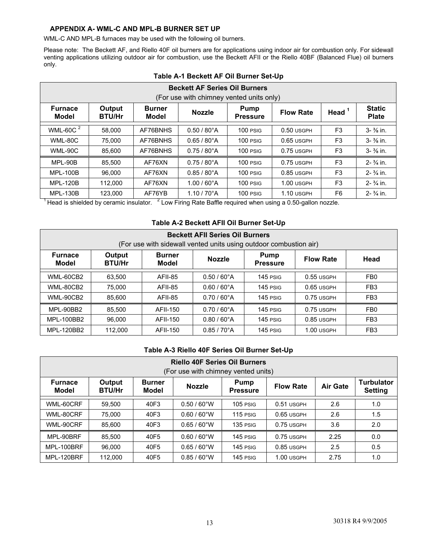#### **APPENDIX A- WML-C AND MPL-B BURNER SET UP**

WML-C AND MPL-B furnaces may be used with the following oil burners.

Please note: The Beckett AF, and Riello 40F oil burners are for applications using indoor air for combustion only. For sidewall venting applications utilizing outdoor air for combustion, use the Beckett AFII or the Riello 40BF (Balanced Flue) oil burners only.

| <b>Beckett AF Series Oil Burners</b><br>(For use with chimney vented units only)                                                                    |                                        |          |                       |          |                                                                               |                |                               |  |  |
|-----------------------------------------------------------------------------------------------------------------------------------------------------|----------------------------------------|----------|-----------------------|----------|-------------------------------------------------------------------------------|----------------|-------------------------------|--|--|
| Output<br><b>Furnace</b><br><b>Burner</b><br><b>Pump</b><br><b>Nozzle</b><br><b>Flow Rate</b><br>Model<br><b>BTU/Hr</b><br>Model<br><b>Pressure</b> |                                        |          |                       |          |                                                                               | Head $1$       | <b>Static</b><br><b>Plate</b> |  |  |
| WML-60C <sup>2</sup>                                                                                                                                | 58.000                                 | AF76BNHS | $0.50 / 80^{\circ}$ A | 100 PSIG | 0.50 USGPH                                                                    | F <sub>3</sub> | $3 - \frac{3}{8}$ in.         |  |  |
| WML-80C                                                                                                                                             | 75.000                                 | AF76BNHS | $0.65 / 80^{\circ}$ A | 100 PSIG | $0.65$ USGPH                                                                  | F <sub>3</sub> | $3 - \frac{3}{8}$ in.         |  |  |
| WML-90C                                                                                                                                             | 85.600                                 | AF76BNHS | $0.75/80^{\circ}$ A   | 100 PSIG | 0.75 USGPH                                                                    | F <sub>3</sub> | $3 - \frac{3}{8}$ in.         |  |  |
| MPL-90B                                                                                                                                             | 85.500                                 | AF76XN   | $0.75/80^{\circ}$ A   | 100 PSIG | $0.75$ USGPH                                                                  | F <sub>3</sub> | $2 - \frac{3}{4}$ in.         |  |  |
| <b>MPL-100B</b>                                                                                                                                     | 96.000                                 | AF76XN   | $0.85 / 80^{\circ}$ A | 100 PSIG | 0.85 USGPH                                                                    | F <sub>3</sub> | $2 - \frac{3}{4}$ in.         |  |  |
| <b>MPL-120B</b>                                                                                                                                     | 112,000                                | AF76XN   | $1.00 / 60^{\circ}$ A | 100 PSIG | $1.00$ USGPH                                                                  | F <sub>3</sub> | $2 - \frac{3}{4}$ in.         |  |  |
| <b>MPL-130B</b>                                                                                                                                     | 123.000                                | AF76YB   | $1.10 / 70^{\circ}$ A | 100 PSIG | $1.10$ USGPH                                                                  | F6             | $2 - \frac{3}{4}$ in.         |  |  |
|                                                                                                                                                     | Head is shielded by ceramic insulator. |          |                       |          | <sup>2</sup> Low Firing Rate Baffle required when using a 0.50-gallon nozzle. |                |                               |  |  |

#### **Table A-1 Beckett AF Oil Burner Set-Up**

#### **Table A-2 Beckett AFII Oil Burner Set-Up**

| <b>Beckett AFII Series Oil Burners</b><br>(For use with sidewall vented units using outdoor combustion air)                                  |         |                 |                       |            |              |                 |  |  |
|----------------------------------------------------------------------------------------------------------------------------------------------|---------|-----------------|-----------------------|------------|--------------|-----------------|--|--|
| Output<br><b>Furnace</b><br><b>Burner</b><br>Pump<br><b>Nozzle</b><br><b>Flow Rate</b><br>Model<br>Model<br><b>BTU/Hr</b><br><b>Pressure</b> |         |                 |                       |            |              |                 |  |  |
| WML-60CB2                                                                                                                                    | 63,500  | <b>AFII-85</b>  | $0.50 / 60^{\circ}$ A | 145 PSIG   | $0.55$ USGPH | FB <sub>0</sub> |  |  |
| WML-80CB2                                                                                                                                    | 75.000  | AFII-85         | $0.60 / 60^{\circ}$ A | 145 PSIG   | $0.65$ USGPH | FB <sub>3</sub> |  |  |
| WML-90CB2                                                                                                                                    | 85,600  | AFII-85         | $0.70/60^{\circ}$ A   | 145 PSIG   | $0.75$ USGPH | FB <sub>3</sub> |  |  |
| MPL-90BB2                                                                                                                                    | 85.500  | <b>AFII-150</b> | $0.70/60^{\circ}$ A   | 145 PSIG   | $0.75$ USGPH | FB <sub>0</sub> |  |  |
| MPL-100BB2                                                                                                                                   | 96,000  | <b>AFII-150</b> | $0.80 / 60^{\circ}$ A | $145$ PSIG | $0.85$ USGPH | FB <sub>3</sub> |  |  |
| MPL-120BB2                                                                                                                                   | 112,000 | <b>AFII-150</b> | $0.85 / 70^{\circ}$ A | $145$ PSIG | $1.00$ USGPH | FB <sub>3</sub> |  |  |

#### **Table A-3 Riello 40F Series Oil Burner Set-Up**

| <b>Riello 40F Series Oil Burners</b><br>(For use with chimney vented units)                                                                                            |         |      |                       |            |              |      |                                     |  |
|------------------------------------------------------------------------------------------------------------------------------------------------------------------------|---------|------|-----------------------|------------|--------------|------|-------------------------------------|--|
| Output<br><b>Furnace</b><br><b>Burner</b><br><b>Pump</b><br><b>Air Gate</b><br><b>Nozzle</b><br><b>Flow Rate</b><br><b>BTU/Hr</b><br>Model<br>Model<br><b>Pressure</b> |         |      |                       |            |              |      | <b>Turbulator</b><br><b>Setting</b> |  |
| WML-60CRF                                                                                                                                                              | 59.500  | 40F3 | $0.50 / 60^{\circ}$ W | $105$ PSIG | 0.51 USGPH   | 2.6  | 1.0                                 |  |
| WML-80CRF                                                                                                                                                              | 75.000  | 40F3 | $0.60 / 60^{\circ}$ W | $115$ PSIG | 0.65 USGPH   | 2.6  | 1.5                                 |  |
| WML-90CRF                                                                                                                                                              | 85.600  | 40F3 | $0.65 / 60^{\circ}$ W | $135$ PSIG | $0.75$ USGPH | 3.6  | 2.0                                 |  |
| MPL-90BRF                                                                                                                                                              | 85.500  | 40F5 | $0.60 / 60^{\circ}$ W | 145 PSIG   | $0.75$ USGPH | 2.25 | 0.0                                 |  |
| MPL-100BRF                                                                                                                                                             | 96.000  | 40F5 | $0.65 / 60^{\circ}$ W | 145 PSIG   | $0.85$ USGPH | 2.5  | 0.5                                 |  |
| MPL-120BRF                                                                                                                                                             | 112,000 | 40F5 | $0.85/60^{\circ}$ W   | 145 PSIG   | 1.00 USGPH   | 2.75 | 1.0                                 |  |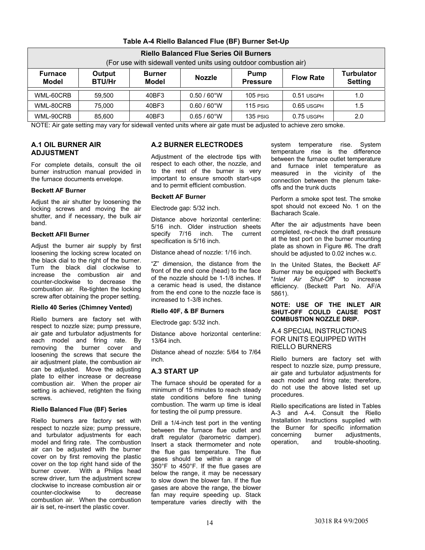| <b>Riello Balanced Flue Series Oil Burners</b><br>(For use with sidewall vented units using outdoor combustion air)                                                                        |        |       |                       |            |              |     |
|--------------------------------------------------------------------------------------------------------------------------------------------------------------------------------------------|--------|-------|-----------------------|------------|--------------|-----|
| <b>Turbulator</b><br><b>Output</b><br><b>Furnace</b><br><b>Burner</b><br>Pump<br><b>Nozzle</b><br><b>Flow Rate</b><br><b>BTU/Hr</b><br>Model<br>Model<br><b>Pressure</b><br><b>Setting</b> |        |       |                       |            |              |     |
| WML-60CRB                                                                                                                                                                                  | 59.500 | 40BF3 | $0.50 / 60^{\circ}$ W | $105$ PSIG | 0.51 USGPH   | 1.0 |
| WML-80CRB                                                                                                                                                                                  | 75.000 | 40BF3 | $0.60 / 60^{\circ}$ W | $115$ PSIG | $0.65$ USGPH | 1.5 |
| WML-90CRB                                                                                                                                                                                  | 85.600 | 40BF3 | $0.65 / 60^{\circ}$ W | $135$ PSIG | 0.75 USGPH   | 2.0 |

#### **Table A-4 Riello Balanced Flue (BF) Burner Set-Up**

NOTE: Air gate setting may vary for sidewall vented units where air gate must be adjusted to achieve zero smoke.

#### **A.1 OIL BURNER AIR ADJUSTMENT**

For complete details, consult the oil burner instruction manual provided in the furnace documents envelope.

#### **Beckett AF Burner**

Adjust the air shutter by loosening the locking screws and moving the air shutter, and if necessary, the bulk air band.

#### **Beckett AFII Burner**

Adjust the burner air supply by first loosening the locking screw located on the black dial to the right of the burner. Turn the black dial clockwise to increase the combustion air and counter-clockwise to decrease the combustion air. Re-tighten the locking screw after obtaining the proper setting.

#### **Riello 40 Series (Chimney Vented)**

Riello burners are factory set with respect to nozzle size; pump pressure, air gate and turbulator adjustments for each model and firing rate. By removing the burner cover and loosening the screws that secure the air adjustment plate, the combustion air can be adjusted. Move the adjusting plate to either increase or decrease combustion air. When the proper air setting is achieved, retighten the fixing screws.

#### **Riello Balanced Flue (BF) Series**

Riello burners are factory set with respect to nozzle size; pump pressure, and turbulator adjustments for each model and firing rate. The combustion air can be adjusted with the burner cover on by first removing the plastic cover on the top right hand side of the burner cover. With a Philips head screw driver, turn the adjustment screw clockwise to increase combustion air or counter-clockwise to decrease combustion air. When the combustion air is set, re-insert the plastic cover.

#### **A.2 BURNER ELECTRODES**

Adjustment of the electrode tips with respect to each other, the nozzle, and to the rest of the burner is very important to ensure smooth start-ups and to permit efficient combustion.

#### **Beckett AF Burner**

Electrode gap: 5/32 inch.

Distance above horizontal centerline: 5/16 inch. Older instruction sheets specify 7/16 inch. The current specification is 5/16 inch.

Distance ahead of nozzle: 1/16 inch.

"Z" dimension, the distance from the front of the end cone (head) to the face of the nozzle should be 1-1/8 inches. If a ceramic head is used, the distance from the end cone to the nozzle face is increased to 1-3/8 inches.

#### **Riello 40F, & BF Burners**

Electrode gap: 5/32 inch.

Distance above horizontal centerline: 13/64 inch.

Distance ahead of nozzle: 5/64 to 7/64 inch.

#### **A.3 START UP**

The furnace should be operated for a minimum of 15 minutes to reach steady state conditions before fine tuning combustion. The warm up time is ideal for testing the oil pump pressure.

Drill a 1/4-inch test port in the venting between the furnace flue outlet and draft regulator (barometric damper). Insert a stack thermometer and note the flue gas temperature. The flue gases should be within a range of 350°F to 450°F. If the flue gases are below the range, it may be necessary to slow down the blower fan. If the flue gases are above the range, the blower fan may require speeding up. Stack temperature varies directly with the system temperature rise. System temperature rise is the difference between the furnace outlet temperature and furnace inlet temperature as measured in the vicinity of the connection between the plenum takeoffs and the trunk ducts

Perform a smoke spot test. The smoke spot should not exceed No. 1 on the Bacharach Scale.

After the air adjustments have been completed, re-check the draft pressure at the test port on the burner mounting plate as shown in Figure #6. The draft should be adjusted to 0.02 inches w.c.

In the United States, the Beckett AF Burner may be equipped with Beckett's "*Inlet Air Shut-Off*" to increase efficiency. (Beckett Part No. AF/A 5861).

#### **NOTE: USE OF THE INLET AIR SHUT-OFF COULD CAUSE POST COMBUSTION NOZZLE DRIP.**

#### A.4 SPECIAL INSTRUCTIONS FOR UNITS EQUIPPED WITH RIELLO BURNERS

Riello burners are factory set with respect to nozzle size, pump pressure, air gate and turbulator adjustments for each model and firing rate; therefore, do not use the above listed set up procedures.

Riello specifications are listed in Tables A-3 and A-4. Consult the Riello Installation Instructions supplied with the Burner for specific information concerning burner adjustments, operation, and trouble-shooting.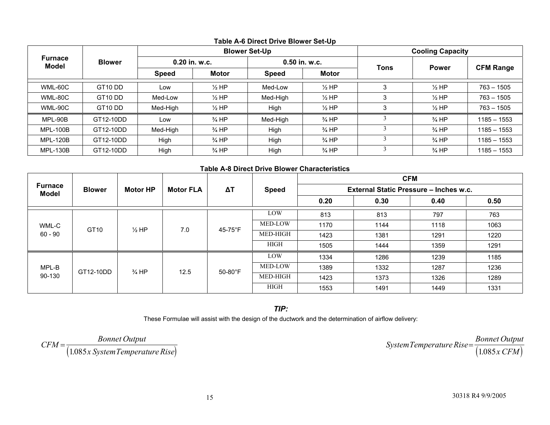|                                |                     | <b>Blower Set-Up</b> |                  |               |                  | <b>Cooling Capacity</b> |                  |                  |
|--------------------------------|---------------------|----------------------|------------------|---------------|------------------|-------------------------|------------------|------------------|
| <b>Furnace</b><br><b>Model</b> | <b>Blower</b>       |                      | 0.20 in. w.c.    | 0.50 in. w.c. |                  | <b>Tons</b>             | <b>Power</b>     | <b>CFM Range</b> |
|                                |                     | <b>Speed</b>         | <b>Motor</b>     | <b>Speed</b>  | <b>Motor</b>     |                         |                  |                  |
| WML-60C                        | GT <sub>10</sub> DD | Low                  | $\frac{1}{2}$ HP | Med-Low       | $\frac{1}{2}$ HP | 3                       | $\frac{1}{2}$ HP | $763 - 1505$     |
| WML-80C                        | GT <sub>10</sub> DD | Med-Low              | $\frac{1}{2}$ HP | Med-High      | $\frac{1}{2}$ HP | 3                       | $\frac{1}{2}$ HP | $763 - 1505$     |
| WML-90C                        | GT <sub>10</sub> DD | Med-High             | $\frac{1}{2}$ HP | High          | $\frac{1}{2}$ HP | 3                       | $\frac{1}{2}$ HP | $763 - 1505$     |
| MPL-90B                        | GT12-10DD           | Low                  | $\frac{3}{4}$ HP | Med-High      | $\frac{3}{4}$ HP |                         | $\frac{3}{4}$ HP | $1185 - 1553$    |
| <b>MPL-100B</b>                | GT12-10DD           | Med-High             | $\frac{3}{4}$ HP | High          | $\frac{3}{4}$ HP |                         | $\frac{3}{4}$ HP | $1185 - 1553$    |
| <b>MPL-120B</b>                | GT12-10DD           | High                 | $\frac{3}{4}$ HP | High          | $\frac{3}{4}$ HP |                         | $\frac{3}{4}$ HP | $1185 - 1553$    |
| <b>MPL-130B</b>                | GT12-10DD           | High                 | $\frac{3}{4}$ HP | High          | $\frac{3}{4}$ HP |                         | $\frac{3}{4}$ HP | $1185 - 1553$    |

#### **Table A-6 Direct Drive Blower Set-Up**

#### **Table A-8 Direct Drive Blower Characteristics**

|                                |               |                  | <b>Motor FLA</b> | $\Delta T$      | <b>Speed</b>    | <b>CFM</b><br>External Static Pressure - Inches w.c. |      |      |      |
|--------------------------------|---------------|------------------|------------------|-----------------|-----------------|------------------------------------------------------|------|------|------|
| <b>Furnace</b><br><b>Model</b> | <b>Blower</b> | <b>Motor HP</b>  |                  |                 |                 |                                                      |      |      |      |
|                                |               |                  |                  |                 |                 | 0.20                                                 | 0.40 | 0.50 |      |
| WML-C                          | GT10          | $\frac{1}{2}$ HP | 7.0              |                 | LOW             | 813                                                  | 813  | 797  | 763  |
|                                |               |                  |                  | 45-75°F         | MED-LOW         | 1170                                                 | 1144 | 1118 | 1063 |
| $60 - 90$                      |               |                  |                  |                 | <b>MED-HIGH</b> | 1423                                                 | 1381 | 1291 | 1220 |
|                                |               |                  |                  |                 | <b>HIGH</b>     | 1505                                                 | 1444 | 1359 | 1291 |
|                                | GT12-10DD     | $\frac{3}{4}$ HP | 12.5             | $50-80^\circ F$ | LOW             | 1334                                                 | 1286 | 1239 | 1185 |
| MPL-B<br>90-130                |               |                  |                  |                 | MED-LOW         | 1389                                                 | 1332 | 1287 | 1236 |
|                                |               |                  |                  |                 | <b>MED-HIGH</b> | 1423                                                 | 1373 | 1326 | 1289 |
|                                |               |                  |                  |                 | <b>HIGH</b>     | 1553                                                 | 1491 | 1449 | 1331 |

*TIP:*

These Formulae will assist with the design of the ductwork and the determination of airflow delivery:

 $CFM = \frac{Bonnet\ Output}{(1.085x\ SystemTemperature\ Rise)}$  System Temperature Rise =  $\frac{Bonnet\ Output}{(1.085x\ CFM)}$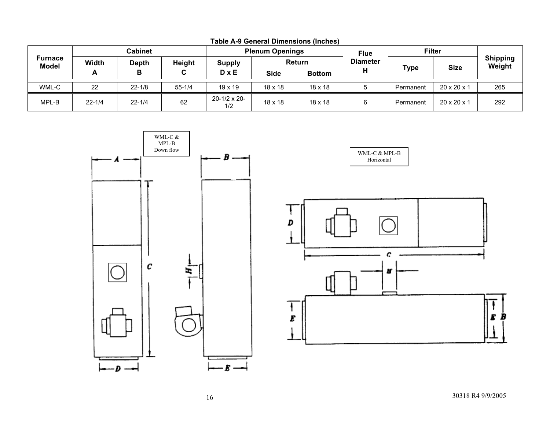|                         | Cabinet    |              | <b>Plenum Openings</b> |                             |                | <b>Flue</b>    | <b>Filter</b>   |             |                         |                           |
|-------------------------|------------|--------------|------------------------|-----------------------------|----------------|----------------|-----------------|-------------|-------------------------|---------------------------|
| Furnace<br><b>Model</b> | Width      | <b>Depth</b> | <b>Height</b>          | <b>Supply</b>               |                | Return         | <b>Diameter</b> |             | <b>Size</b>             | <b>Shipping</b><br>Weight |
|                         | A          |              | C.                     | $D \times E$                | Side           | <b>Bottom</b>  |                 | <b>Type</b> |                         |                           |
| WML-C                   | 22         | $22 - 1/8$   | $55 - 1/4$             | $19 \times 19$              | $18 \times 18$ | $18 \times 18$ |                 | Permanent   | $20 \times 20 \times 1$ | 265                       |
| MPL-B                   | $22 - 1/4$ | $22 - 1/4$   | 62                     | $20 - 1/2 \times 20$<br>1/2 | $18 \times 18$ | $18 \times 18$ |                 | Permanent   | $20 \times 20 \times 1$ | 292                       |

**Table A-9 General Dimensions (Inches)** 



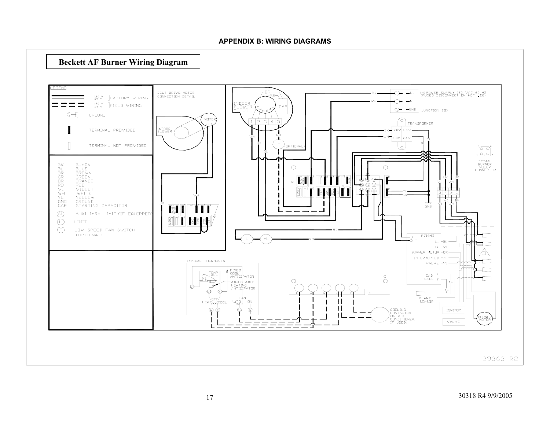#### **APPENDIX B: WIRING DIAGRAMS**

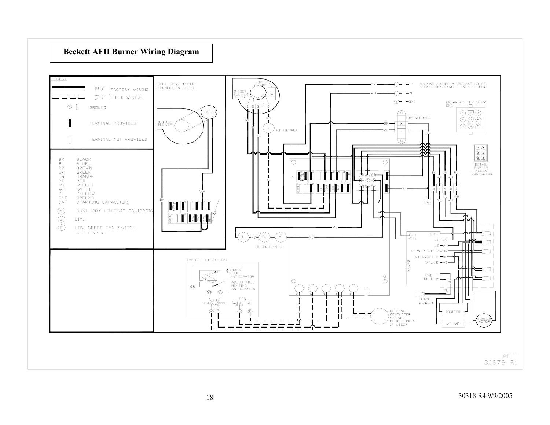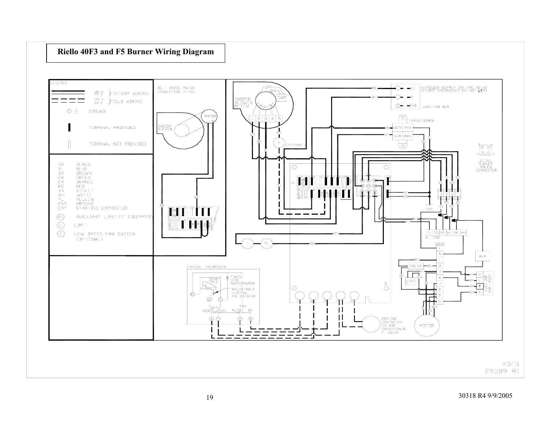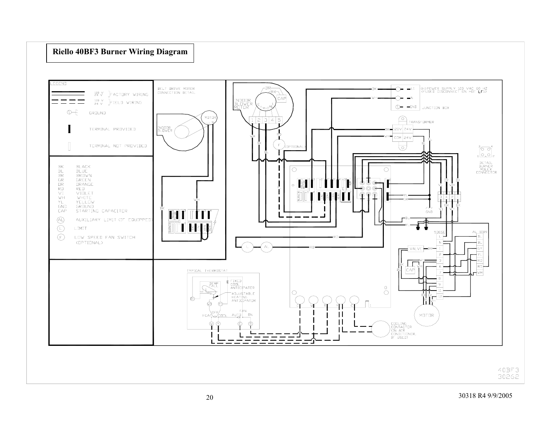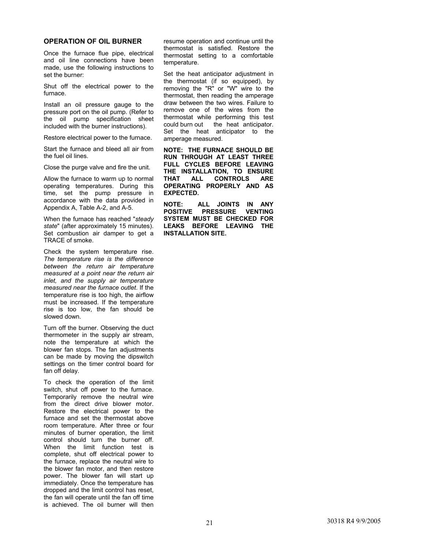#### **OPERATION OF OIL BURNER**

Once the furnace flue pipe, electrical and oil line connections have been made, use the following instructions to set the burner:

Shut off the electrical power to the furnace.

Install an oil pressure gauge to the pressure port on the oil pump. (Refer to the oil pump specification sheet included with the burner instructions).

Restore electrical power to the furnace.

Start the furnace and bleed all air from the fuel oil lines.

Close the purge valve and fire the unit.

Allow the furnace to warm up to normal operating temperatures. During this time, set the pump pressure in accordance with the data provided in Appendix A, Table A-2, and A-5.

When the furnace has reached "*steady state*" (after approximately 15 minutes). Set combustion air damper to get a TRACE of smoke.

Check the system temperature rise. *The temperature rise is the difference between the return air temperature measured at a point near the return air inlet, and the supply air temperature measured near the furnace outlet*. If the temperature rise is too high, the airflow must be increased. If the temperature rise is too low, the fan should be slowed down.

Turn off the burner. Observing the duct thermometer in the supply air stream, note the temperature at which the blower fan stops. The fan adjustments can be made by moving the dipswitch settings on the timer control board for fan off delay.

To check the operation of the limit switch, shut off power to the furnace. Temporarily remove the neutral wire from the direct drive blower motor. Restore the electrical power to the furnace and set the thermostat above room temperature. After three or four minutes of burner operation, the limit control should turn the burner off. When the limit function test is complete, shut off electrical power to the furnace, replace the neutral wire to the blower fan motor, and then restore power. The blower fan will start up immediately. Once the temperature has dropped and the limit control has reset, the fan will operate until the fan off time is achieved. The oil burner will then

resume operation and continue until the thermostat is satisfied. Restore the thermostat setting to a comfortable temperature.

Set the heat anticipator adjustment in the thermostat (if so equipped), by removing the "R" or "W" wire to the thermostat, then reading the amperage draw between the two wires. Failure to remove one of the wires from the thermostat while performing this test could burn out the heat anticipator. Set the heat anticipator to the amperage measured.

**NOTE: THE FURNACE SHOULD BE RUN THROUGH AT LEAST THREE FULL CYCLES BEFORE LEAVING THE INSTALLATION, TO ENSURE THAT ALL CONTROLS ARE OPERATING PROPERLY AND AS EXPECTED.** 

**NOTE: ALL JOINTS IN ANY POSITIVE PRESSURE VENTING SYSTEM MUST BE CHECKED FOR LEAKS BEFORE LEAVING THE INSTALLATION SITE.**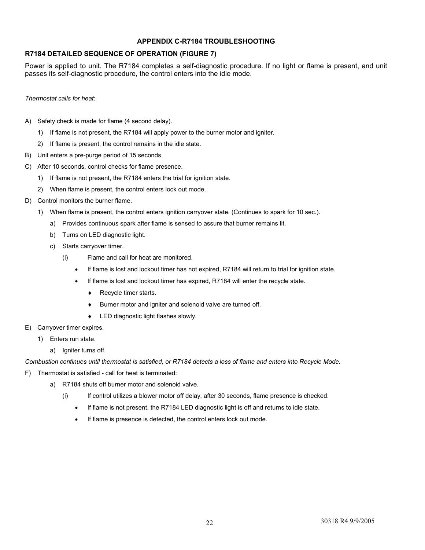#### **APPENDIX C-R7184 TROUBLESHOOTING**

#### **R7184 DETAILED SEQUENCE OF OPERATION (FIGURE 7)**

Power is applied to unit. The R7184 completes a self-diagnostic procedure. If no light or flame is present, and unit passes its self-diagnostic procedure, the control enters into the idle mode.

*Thermostat calls for heat*:

- A) Safety check is made for flame (4 second delay).
	- 1) If flame is not present, the R7184 will apply power to the burner motor and igniter.
	- 2) If flame is present, the control remains in the idle state.
- B) Unit enters a pre-purge period of 15 seconds.
- C) After 10 seconds, control checks for flame presence.
	- 1) If flame is not present, the R7184 enters the trial for ignition state.
	- 2) When flame is present, the control enters lock out mode.
- D) Control monitors the burner flame.
	- 1) When flame is present, the control enters ignition carryover state. (Continues to spark for 10 sec.).
		- a) Provides continuous spark after flame is sensed to assure that burner remains lit.
		- b) Turns on LED diagnostic light.
		- c) Starts carryover timer.
			- (i) Flame and call for heat are monitored.
				- If flame is lost and lockout timer has not expired, R7184 will return to trial for ignition state.
				- If flame is lost and lockout timer has expired, R7184 will enter the recycle state.
					- ♦ Recycle timer starts.
					- ♦ Burner motor and igniter and solenoid valve are turned off.
					- ♦ LED diagnostic light flashes slowly.
- E) Carryover timer expires.
	- 1) Enters run state.
		- a) Igniter turns off.

*Combustion continues until thermostat is satisfied, or R7184 detects a loss of flame and enters into Recycle Mode.* 

- F) Thermostat is satisfied call for heat is terminated:
	- a) R7184 shuts off burner motor and solenoid valve.
		- (i) If control utilizes a blower motor off delay, after 30 seconds, flame presence is checked.
			- If flame is not present, the R7184 LED diagnostic light is off and returns to idle state.
			- If flame is presence is detected, the control enters lock out mode.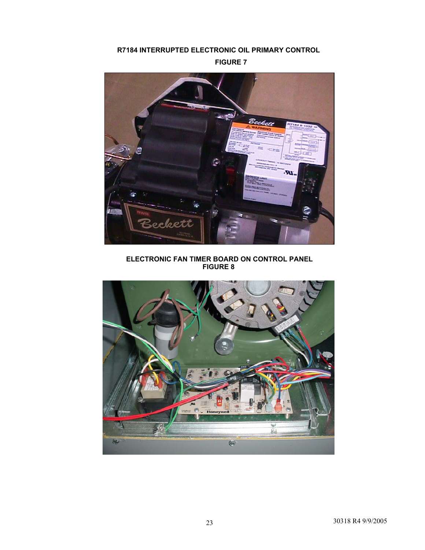#### **R7184 INTERRUPTED ELECTRONIC OIL PRIMARY CONTROL**

**FIGURE 7** 



 **ELECTRONIC FAN TIMER BOARD ON CONTROL PANEL FIGURE 8** 

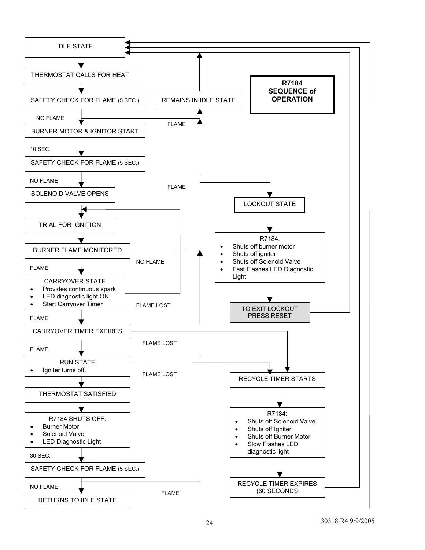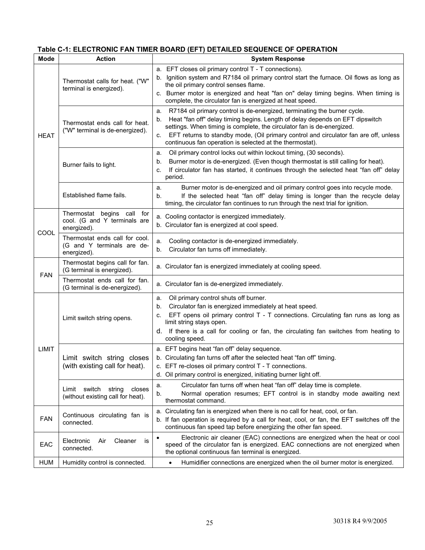#### **Table C-1: ELECTRONIC FAN TIMER BOARD (EFT) DETAILED SEQUENCE OF OPERATION**

| <b>Mode</b>  | <b>Action</b>                                                               | <b>System Response</b>                                                                                                                                                                                                                                                                                                                                                                                   |  |  |
|--------------|-----------------------------------------------------------------------------|----------------------------------------------------------------------------------------------------------------------------------------------------------------------------------------------------------------------------------------------------------------------------------------------------------------------------------------------------------------------------------------------------------|--|--|
|              | Thermostat calls for heat. ("W"<br>terminal is energized).                  | a. EFT closes oil primary control T - T connections).<br>Ignition system and R7184 oil primary control start the furnace. Oil flows as long as<br>b.<br>the oil primary control senses flame.<br>c. Burner motor is energized and heat "fan on" delay timing begins. When timing is<br>complete, the circulator fan is energized at heat speed.                                                          |  |  |
| <b>HEAT</b>  | Thermostat ends call for heat.<br>("W" terminal is de-energized).           | R7184 oil primary control is de-energized, terminating the burner cycle.<br>а.<br>Heat "fan off" delay timing begins. Length of delay depends on EFT dipswitch<br>b.<br>settings. When timing is complete, the circulator fan is de-energized.<br>EFT returns to standby mode, (Oil primary control and circulator fan are off, unless<br>C.<br>continuous fan operation is selected at the thermostat). |  |  |
|              | Burner fails to light.                                                      | Oil primary control locks out within lockout timing, (30 seconds).<br>a.<br>Burner motor is de-energized. (Even though thermostat is still calling for heat).<br>b.<br>If circulator fan has started, it continues through the selected heat "fan off" delay<br>c.<br>period.                                                                                                                            |  |  |
|              | Established flame fails.                                                    | Burner motor is de-energized and oil primary control goes into recycle mode.<br>a.<br>If the selected heat "fan off" delay timing is longer than the recycle delay<br>b.<br>timing, the circulator fan continues to run through the next trial for ignition.                                                                                                                                             |  |  |
| COOL         | Thermostat begins call for<br>cool. (G and Y terminals are<br>energized).   | a. Cooling contactor is energized immediately.<br>b. Circulator fan is energized at cool speed.                                                                                                                                                                                                                                                                                                          |  |  |
|              | Thermostat ends call for cool.<br>(G and Y terminals are de-<br>energized). | Cooling contactor is de-energized immediately.<br>a.<br>Circulator fan turns off immediately.<br>b.                                                                                                                                                                                                                                                                                                      |  |  |
|              | Thermostat begins call for fan.<br>(G terminal is energized).               | a. Circulator fan is energized immediately at cooling speed.                                                                                                                                                                                                                                                                                                                                             |  |  |
| <b>FAN</b>   | Thermostat ends call for fan.<br>(G terminal is de-energized).              | a. Circulator fan is de-energized immediately.                                                                                                                                                                                                                                                                                                                                                           |  |  |
|              | Limit switch string opens.                                                  | Oil primary control shuts off burner.<br>a.<br>Circulator fan is energized immediately at heat speed.<br>b.<br>EFT opens oil primary control T - T connections. Circulating fan runs as long as<br>C.<br>limit string stays open.<br>d. If there is a call for cooling or fan, the circulating fan switches from heating to<br>cooling speed.                                                            |  |  |
| <b>LIMIT</b> | Limit switch string closes<br>(with existing call for heat).                | a. EFT begins heat "fan off" delay sequence.<br>b. Circulating fan turns off after the selected heat "fan off" timing.<br>c. EFT re-closes oil primary control T - T connections.<br>d. Oil primary control is energized, initiating burner light off.                                                                                                                                                   |  |  |
|              | Limit switch<br>closes<br>string<br>(without existing call for heat).       | Circulator fan turns off when heat "fan off" delay time is complete.<br>a.<br>Normal operation resumes; EFT control is in standby mode awaiting next<br>b.<br>thermostat command.                                                                                                                                                                                                                        |  |  |
| <b>FAN</b>   | Continuous circulating fan is<br>connected.                                 | Circulating fan is energized when there is no call for heat, cool, or fan.<br>а.<br>b. If fan operation is required by a call for heat, cool, or fan, the EFT switches off the<br>continuous fan speed tap before energizing the other fan speed.                                                                                                                                                        |  |  |
| EAC          | Cleaner<br>Electronic<br>Air<br>is<br>connected.                            | Electronic air cleaner (EAC) connections are energized when the heat or cool<br>$\bullet$<br>speed of the circulator fan is energized. EAC connections are not energized when<br>the optional continuous fan terminal is energized.                                                                                                                                                                      |  |  |
| HUM          | Humidity control is connected.                                              | Humidifier connections are energized when the oil burner motor is energized.                                                                                                                                                                                                                                                                                                                             |  |  |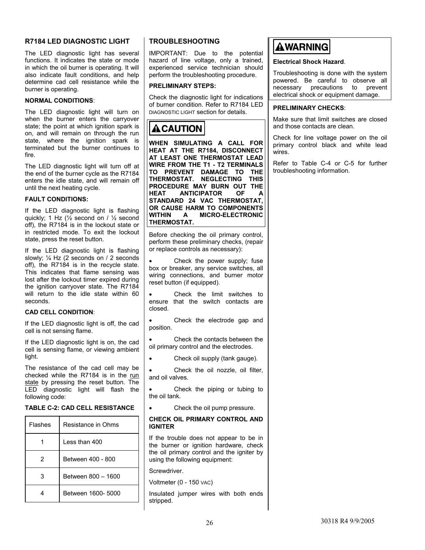#### **R7184 LED DIAGNOSTIC LIGHT**

The LED diagnostic light has several functions. It indicates the state or mode in which the oil burner is operating. It will also indicate fault conditions, and help determine cad cell resistance while the burner is operating.

#### **NORMAL CONDITIONS**:

The LED diagnostic light will turn on when the burner enters the carryover state; the point at which ignition spark is on, and will remain on through the run state, where the ignition spark is terminated but the burner continues to fire.

The LED diagnostic light will turn off at the end of the burner cycle as the R7184 enters the idle state, and will remain off until the next heating cycle.

#### **FAULT CONDITIONS:**

If the LED diagnostic light is flashing quickly; 1 Hz (½ second on / ½ second off), the R7184 is in the lockout state or in restricted mode. To exit the lockout state, press the reset button.

If the LED diagnostic light is flashing slowly; ¼ Hz (2 seconds on / 2 seconds off), the R7184 is in the recycle state. This indicates that flame sensing was lost after the lockout timer expired during the ignition carryover state. The R7184 will return to the idle state within 60 seconds.

#### **CAD CELL CONDITION**:

If the LED diagnostic light is off, the cad cell is not sensing flame.

If the LED diagnostic light is on, the cad cell is sensing flame, or viewing ambient light.

The resistance of the cad cell may be checked while the R7184 is in the run state by pressing the reset button. The LED diagnostic light will flash the following code:

#### **TABLE C-2: CAD CELL RESISTANCE**

| <b>Flashes</b> | Resistance in Ohms |  |
|----------------|--------------------|--|
|                | Less than 400      |  |
| 2              | Between 400 - 800  |  |
| 3              | Between 800 - 1600 |  |
|                | Between 1600- 5000 |  |

#### **TROUBLESHOOTING**

IMPORTANT: Due to the potential hazard of line voltage, only a trained, experienced service technician should perform the troubleshooting procedure.

#### **PRELIMINARY STEPS:**

Check the diagnostic light for indications of burner condition. Refer to R7184 LED DIAGNOSTIC LIGHT section for details.

# ${\bf \Delta}$  CAUTION

**WHEN SIMULATING A CALL FOR HEAT AT THE R7184, DISCONNECT AT LEAST ONE THERMOSTAT LEAD WIRE FROM THE T1 - T2 TERMINALS TO PREVENT DAMAGE TO THE THERMOSTAT. NEGLECTING THIS PROCEDURE MAY BURN OUT THE HEAT ANTICIPATOR OF A STANDARD 24 VAC THERMOSTAT, OR CAUSE HARM TO COMPONENTS WITHIN A MICRO-ELECTRONIC THERMOSTAT.** 

Before checking the oil primary control, perform these preliminary checks, (repair or replace controls as necessary):

Check the power supply; fuse box or breaker, any service switches, all wiring connections, and burner motor reset button (if equipped).

Check the limit switches to ensure that the switch contacts are closed.

Check the electrode gap and position.

• Check the contacts between the oil primary control and the electrodes.

• Check oil supply (tank gauge).

Check the oil nozzle, oil filter, and oil valves.

Check the piping or tubing to the oil tank.

Check the oil pump pressure.

#### **CHECK OIL PRIMARY CONTROL AND IGNITER**

If the trouble does not appear to be in the burner or ignition hardware, check the oil primary control and the igniter by using the following equipment:

Screwdriver.

Voltmeter (0 - 150 VAC)

Insulated jumper wires with both ends stripped.

# **AWARNING**

#### **Electrical Shock Hazard**.

Troubleshooting is done with the system powered. Be careful to observe all necessary precautions to prevent electrical shock or equipment damage.

#### **PRELIMINARY CHECKS**:

Make sure that limit switches are closed and those contacts are clean.

Check for line voltage power on the oil primary control black and white lead wires.

Refer to Table C-4 or C-5 for further troubleshooting information.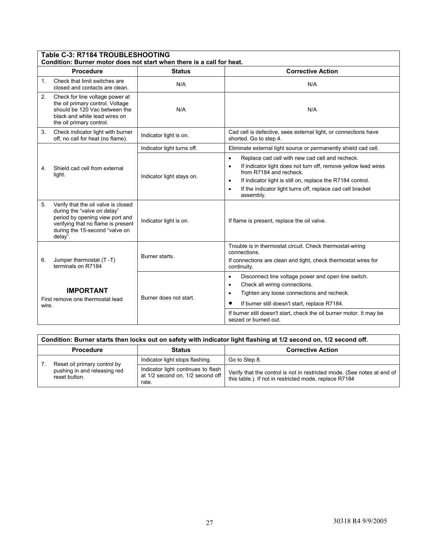|                | Table C-3: R7184 TROUBLESHOOTING<br>Condition: Burner motor does not start when there is a call for heat.                                                                                |                            |                                                                                                                                                                                                                                                                                                                                           |  |  |
|----------------|------------------------------------------------------------------------------------------------------------------------------------------------------------------------------------------|----------------------------|-------------------------------------------------------------------------------------------------------------------------------------------------------------------------------------------------------------------------------------------------------------------------------------------------------------------------------------------|--|--|
|                | <b>Procedure</b>                                                                                                                                                                         | <b>Status</b>              | <b>Corrective Action</b>                                                                                                                                                                                                                                                                                                                  |  |  |
| $\mathbf{1}$ . | Check that limit switches are<br>closed and contacts are clean.                                                                                                                          | N/A                        | N/A                                                                                                                                                                                                                                                                                                                                       |  |  |
| 2.             | Check for line voltage power at<br>the oil primary control. Voltage<br>should be 120 Vac between the<br>black and white lead wires on<br>the oil primary control.                        | N/A                        | N/A                                                                                                                                                                                                                                                                                                                                       |  |  |
| 3.             | Check indicator light with burner<br>off, no call for heat (no flame).                                                                                                                   | Indicator light is on.     | Cad cell is defective, sees external light, or connections have<br>shorted. Go to step 4.                                                                                                                                                                                                                                                 |  |  |
|                |                                                                                                                                                                                          | Indicator light turns off. | Eliminate external light source or permanently shield cad cell.                                                                                                                                                                                                                                                                           |  |  |
| 4.             | Shield cad cell from external<br>light.                                                                                                                                                  | Indicator light stays on.  | Replace cad cell with new cad cell and recheck.<br>$\bullet$<br>If indicator light does not turn off, remove yellow lead wires<br>$\bullet$<br>from R7184 and recheck.<br>If indicator light is still on, replace the R7184 control.<br>$\bullet$<br>If the indicator light turns off, replace cad cell bracket<br>$\bullet$<br>assembly. |  |  |
| 5.             | Verify that the oil valve is closed<br>during the "valve on delay"<br>period by opening view port and<br>verifying that no flame is present<br>during the 15-second "valve on<br>delay". | Indicator light is on.     | If flame is present, replace the oil valve.                                                                                                                                                                                                                                                                                               |  |  |
| 6.             | Jumper thermostat (T-T)<br>terminals on R7184                                                                                                                                            | Burner starts.             | Trouble is in thermostat circuit. Check thermostat-wiring<br>connections.<br>If connections are clean and tight, check thermostat wires for<br>continuity.                                                                                                                                                                                |  |  |
| wire.          | <b>IMPORTANT</b><br>First remove one thermostat lead                                                                                                                                     | Burner does not start.     | Disconnect line voltage power and open line switch.<br>$\bullet$<br>Check all wiring connections.<br>$\bullet$<br>Tighten any loose connections and recheck.<br>$\bullet$<br>If burner still doesn't start, replace R7184.<br>If burner still doesn't start, check the oil burner motor. It may be<br>seized or burned out.               |  |  |

| Condition: Burner starts then locks out on safety with indicator light flashing at 1/2 second on, 1/2 second off. |                                                                                 |                                                                                                                                   |  |  |  |
|-------------------------------------------------------------------------------------------------------------------|---------------------------------------------------------------------------------|-----------------------------------------------------------------------------------------------------------------------------------|--|--|--|
| <b>Procedure</b>                                                                                                  | <b>Status</b>                                                                   | <b>Corrective Action</b>                                                                                                          |  |  |  |
| Reset oil primary control by                                                                                      | Indicator light stops flashing.                                                 | Go to Step 8.                                                                                                                     |  |  |  |
| pushing in and releasing red<br>reset button.                                                                     | Indicator light continues to flash<br>at 1/2 second on, 1/2 second off<br>rate. | Verify that the control is not in restricted mode. (See notes at end of<br>this table.). If not in restricted mode, replace R7184 |  |  |  |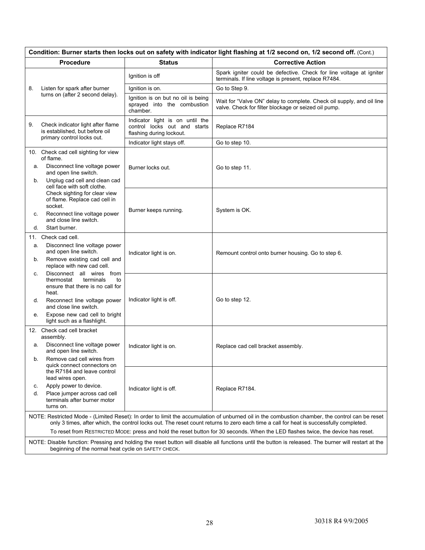|    | Condition: Burner starts then locks out on safety with indicator light flashing at 1/2 second on, 1/2 second off. (Cont.)                                                                                                                                                                                                                                                                                                     |                                                                                             |                                                                                                                                                       |  |  |
|----|-------------------------------------------------------------------------------------------------------------------------------------------------------------------------------------------------------------------------------------------------------------------------------------------------------------------------------------------------------------------------------------------------------------------------------|---------------------------------------------------------------------------------------------|-------------------------------------------------------------------------------------------------------------------------------------------------------|--|--|
|    | <b>Procedure</b>                                                                                                                                                                                                                                                                                                                                                                                                              | <b>Status</b>                                                                               | <b>Corrective Action</b>                                                                                                                              |  |  |
|    |                                                                                                                                                                                                                                                                                                                                                                                                                               | Ignition is off                                                                             | Spark igniter could be defective. Check for line voltage at igniter<br>terminals. If line voltage is present, replace R7484.                          |  |  |
| 8. | Listen for spark after burner                                                                                                                                                                                                                                                                                                                                                                                                 | Ignition is on.                                                                             | Go to Step 9.                                                                                                                                         |  |  |
|    | turns on (after 2 second delay).                                                                                                                                                                                                                                                                                                                                                                                              | Ignition is on but no oil is being<br>sprayed into the combustion<br>chamber.               | Wait for "Valve ON" delay to complete. Check oil supply, and oil line<br>valve. Check for filter blockage or seized oil pump.                         |  |  |
| 9. | Check indicator light after flame<br>is established, but before oil<br>primary control locks out.                                                                                                                                                                                                                                                                                                                             | Indicator light is on until the<br>control locks out and starts<br>flashing during lockout. | Replace R7184                                                                                                                                         |  |  |
|    |                                                                                                                                                                                                                                                                                                                                                                                                                               | Indicator light stays off.                                                                  | Go to step 10.                                                                                                                                        |  |  |
|    | 10. Check cad cell sighting for view<br>of flame.                                                                                                                                                                                                                                                                                                                                                                             |                                                                                             |                                                                                                                                                       |  |  |
| а. | Disconnect line voltage power<br>and open line switch.                                                                                                                                                                                                                                                                                                                                                                        | Burner locks out.                                                                           | Go to step 11.                                                                                                                                        |  |  |
| b. | Unplug cad cell and clean cad<br>cell face with soft clothe.                                                                                                                                                                                                                                                                                                                                                                  |                                                                                             |                                                                                                                                                       |  |  |
|    | Check sighting for clear view<br>of flame. Replace cad cell in<br>socket.                                                                                                                                                                                                                                                                                                                                                     |                                                                                             | System is OK.                                                                                                                                         |  |  |
| C. | Reconnect line voltage power<br>and close line switch.                                                                                                                                                                                                                                                                                                                                                                        | Burner keeps running.                                                                       |                                                                                                                                                       |  |  |
| d. | Start burner.                                                                                                                                                                                                                                                                                                                                                                                                                 |                                                                                             |                                                                                                                                                       |  |  |
|    | 11. Check cad cell.                                                                                                                                                                                                                                                                                                                                                                                                           |                                                                                             |                                                                                                                                                       |  |  |
| а. | Disconnect line voltage power<br>and open line switch.                                                                                                                                                                                                                                                                                                                                                                        | Indicator light is on.                                                                      | Remount control onto burner housing. Go to step 6.                                                                                                    |  |  |
| b. | Remove existing cad cell and<br>replace with new cad cell.                                                                                                                                                                                                                                                                                                                                                                    |                                                                                             |                                                                                                                                                       |  |  |
| С. | Disconnect all wires from<br>thermostat<br>terminals<br>to<br>ensure that there is no call for<br>heat.                                                                                                                                                                                                                                                                                                                       |                                                                                             |                                                                                                                                                       |  |  |
| d. | Reconnect line voltage power<br>and close line switch.                                                                                                                                                                                                                                                                                                                                                                        | Indicator light is off.                                                                     | Go to step 12.                                                                                                                                        |  |  |
| е. | Expose new cad cell to bright<br>light such as a flashlight.                                                                                                                                                                                                                                                                                                                                                                  |                                                                                             |                                                                                                                                                       |  |  |
|    | 12. Check cad cell bracket<br>assembly.                                                                                                                                                                                                                                                                                                                                                                                       |                                                                                             |                                                                                                                                                       |  |  |
| а. | Disconnect line voltage power<br>and open line switch.                                                                                                                                                                                                                                                                                                                                                                        | Indicator light is on.                                                                      | Replace cad cell bracket assembly.                                                                                                                    |  |  |
|    | Remove cad cell wires from<br>quick connect connectors on<br>the R7184 and leave control<br>lead wires open.                                                                                                                                                                                                                                                                                                                  |                                                                                             |                                                                                                                                                       |  |  |
| С. | Apply power to device.                                                                                                                                                                                                                                                                                                                                                                                                        |                                                                                             |                                                                                                                                                       |  |  |
| d. | Place jumper across cad cell<br>terminals after burner motor<br>turns on.                                                                                                                                                                                                                                                                                                                                                     | Indicator light is off.                                                                     | Replace R7184.                                                                                                                                        |  |  |
|    | NOTE: Restricted Mode - (Limited Reset): In order to limit the accumulation of unburned oil in the combustion chamber, the control can be reset<br>only 3 times, after which, the control locks out. The reset count returns to zero each time a call for heat is successfully completed.<br>To reset from RESTRICTED MODE: press and hold the reset button for 30 seconds. When the LED flashes twice, the device has reset. |                                                                                             |                                                                                                                                                       |  |  |
|    | beginning of the normal heat cycle on SAFETY CHECK.                                                                                                                                                                                                                                                                                                                                                                           |                                                                                             | NOTE: Disable function: Pressing and holding the reset button will disable all functions until the button is released. The burner will restart at the |  |  |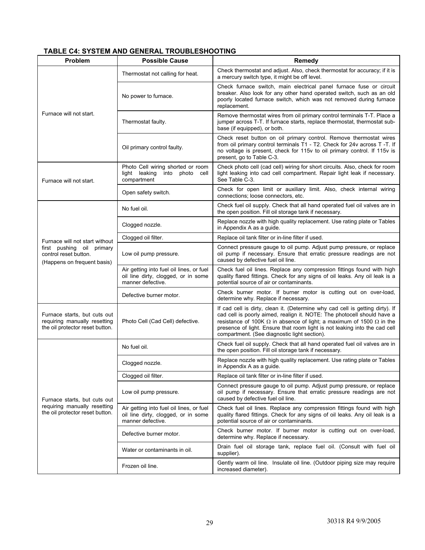#### **TABLE C4: SYSTEM AND GENERAL TROUBLESHOOTING**

| Problem                                                                                         | <b>Possible Cause</b>                                                                                | Remedy                                                                                                                                                                                                                                                                                                                                                                       |
|-------------------------------------------------------------------------------------------------|------------------------------------------------------------------------------------------------------|------------------------------------------------------------------------------------------------------------------------------------------------------------------------------------------------------------------------------------------------------------------------------------------------------------------------------------------------------------------------------|
|                                                                                                 | Thermostat not calling for heat.                                                                     | Check thermostat and adjust. Also, check thermostat for accuracy; if it is<br>a mercury switch type, it might be off level.                                                                                                                                                                                                                                                  |
|                                                                                                 | No power to furnace.                                                                                 | Check furnace switch, main electrical panel furnace fuse or circuit<br>breaker. Also look for any other hand operated switch, such as an old<br>poorly located furnace switch, which was not removed during furnace<br>replacement.                                                                                                                                          |
| Furnace will not start.                                                                         | Thermostat faulty.                                                                                   | Remove thermostat wires from oil primary control terminals T-T. Place a<br>jumper across T-T. If furnace starts, replace thermostat, thermostat sub-<br>base (if equipped), or both.                                                                                                                                                                                         |
|                                                                                                 | Oil primary control faulty.                                                                          | Check reset button on oil primary control. Remove thermostat wires<br>from oil primary control terminals T1 - T2. Check for 24v across T -T. If<br>no voltage is present, check for 115v to oil primary control. If 115v is<br>present, go to Table C-3.                                                                                                                     |
| Furnace will not start.                                                                         | Photo Cell wiring shorted or room<br>light leaking<br>into photo<br>cell<br>compartment              | Check photo cell (cad cell) wiring for short circuits. Also, check for room<br>light leaking into cad cell compartment. Repair light leak if necessary.<br>See Table C-3.                                                                                                                                                                                                    |
|                                                                                                 | Open safety switch.                                                                                  | Check for open limit or auxiliary limit. Also, check internal wiring<br>connections; loose connectors, etc.                                                                                                                                                                                                                                                                  |
|                                                                                                 | No fuel oil.                                                                                         | Check fuel oil supply. Check that all hand operated fuel oil valves are in<br>the open position. Fill oil storage tank if necessary.                                                                                                                                                                                                                                         |
|                                                                                                 | Clogged nozzle.                                                                                      | Replace nozzle with high quality replacement. Use rating plate or Tables<br>in Appendix A as a guide.                                                                                                                                                                                                                                                                        |
| Furnace will not start without                                                                  | Clogged oil filter.                                                                                  | Replace oil tank filter or in-line filter if used.                                                                                                                                                                                                                                                                                                                           |
| first pushing oil primary<br>control reset button.<br>(Happens on frequent basis)               | Low oil pump pressure.                                                                               | Connect pressure gauge to oil pump. Adjust pump pressure, or replace<br>oil pump if necessary. Ensure that erratic pressure readings are not<br>caused by defective fuel oil line.                                                                                                                                                                                           |
|                                                                                                 | Air getting into fuel oil lines, or fuel<br>oil line dirty, clogged, or in some<br>manner defective. | Check fuel oil lines. Replace any compression fittings found with high<br>quality flared fittings. Check for any signs of oil leaks. Any oil leak is a<br>potential source of air or contaminants.                                                                                                                                                                           |
|                                                                                                 | Defective burner motor.                                                                              | Check burner motor. If burner motor is cutting out on over-load,<br>determine why. Replace if necessary.                                                                                                                                                                                                                                                                     |
| Furnace starts, but cuts out<br>requiring manually resetting<br>the oil protector reset button. | Photo Cell (Cad Cell) defective.                                                                     | If cad cell is dirty, clean it. (Determine why cad cell is getting dirty). If<br>cad cell is poorly aimed, realign it. NOTE: The photocell should have a<br>resistance of 100K $\Omega$ in absence of light; a maximum of 1500 $\Omega$ in the<br>presence of light. Ensure that room light is not leaking into the cad cell<br>compartment. (See diagnostic light section). |
|                                                                                                 | No fuel oil.                                                                                         | Check fuel oil supply. Check that all hand operated fuel oil valves are in<br>the open position. Fill oil storage tank if necessary.                                                                                                                                                                                                                                         |
|                                                                                                 | Clogged nozzle.                                                                                      | Replace nozzle with high quality replacement. Use rating plate or Tables<br>in Appendix A as a guide.                                                                                                                                                                                                                                                                        |
|                                                                                                 | Clogged oil filter.                                                                                  | Replace oil tank filter or in-line filter if used.                                                                                                                                                                                                                                                                                                                           |
| Furnace starts, but cuts out                                                                    | Low oil pump pressure.                                                                               | Connect pressure gauge to oil pump. Adjust pump pressure, or replace<br>oil pump if necessary. Ensure that erratic pressure readings are not<br>caused by defective fuel oil line.                                                                                                                                                                                           |
| requiring manually resetting<br>the oil protector reset button.                                 | Air getting into fuel oil lines, or fuel<br>oil line dirty, clogged, or in some<br>manner defective. | Check fuel oil lines. Replace any compression fittings found with high<br>quality flared fittings. Check for any signs of oil leaks. Any oil leak is a<br>potential source of air or contaminants.                                                                                                                                                                           |
|                                                                                                 | Defective burner motor.                                                                              | Check burner motor. If burner motor is cutting out on over-load,<br>determine why. Replace if necessary.                                                                                                                                                                                                                                                                     |
|                                                                                                 | Water or contaminants in oil.                                                                        | Drain fuel oil storage tank, replace fuel oil. (Consult with fuel oil<br>supplier).                                                                                                                                                                                                                                                                                          |
|                                                                                                 | Frozen oil line.                                                                                     | Gently warm oil line. Insulate oil line. (Outdoor piping size may require<br>increased diameter).                                                                                                                                                                                                                                                                            |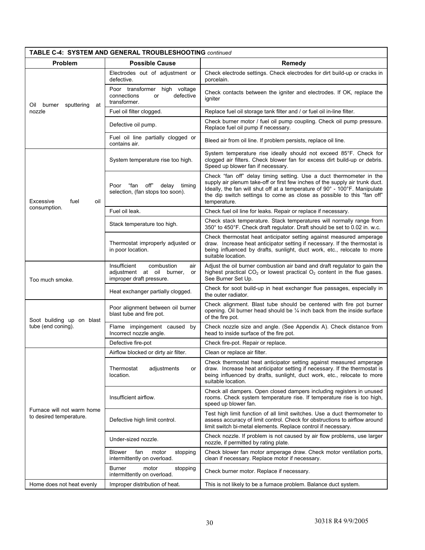| TABLE C-4: SYSTEM AND GENERAL TROUBLESHOOTING continued |                                                                                                  |                                                                                                                                                                                                                                                                                                                             |  |  |
|---------------------------------------------------------|--------------------------------------------------------------------------------------------------|-----------------------------------------------------------------------------------------------------------------------------------------------------------------------------------------------------------------------------------------------------------------------------------------------------------------------------|--|--|
| <b>Problem</b>                                          | <b>Possible Cause</b>                                                                            | Remedy                                                                                                                                                                                                                                                                                                                      |  |  |
|                                                         | Electrodes out of adjustment or<br>defective.                                                    | Check electrode settings. Check electrodes for dirt build-up or cracks in<br>porcelain.                                                                                                                                                                                                                                     |  |  |
| Oil burner sputtering<br>at                             | Poor transformer high voltage<br>defective<br>connections<br>or<br>transformer.                  | Check contacts between the igniter and electrodes. If OK, replace the<br>igniter                                                                                                                                                                                                                                            |  |  |
| nozzle                                                  | Fuel oil filter clogged.                                                                         | Replace fuel oil storage tank filter and / or fuel oil in-line filter.                                                                                                                                                                                                                                                      |  |  |
|                                                         | Defective oil pump.                                                                              | Check burner motor / fuel oil pump coupling. Check oil pump pressure.<br>Replace fuel oil pump if necessary.                                                                                                                                                                                                                |  |  |
|                                                         | Fuel oil line partially clogged or<br>contains air.                                              | Bleed air from oil line. If problem persists, replace oil line.                                                                                                                                                                                                                                                             |  |  |
|                                                         | System temperature rise too high.                                                                | System temperature rise ideally should not exceed 85°F. Check for<br>clogged air filters. Check blower fan for excess dirt build-up or debris.<br>Speed up blower fan if necessary.                                                                                                                                         |  |  |
| Excessive<br>fuel<br>oil                                | "fan<br>off"<br>Poor<br>delay<br>timing<br>selection, (fan stops too soon).                      | Check "fan off" delay timing setting. Use a duct thermometer in the<br>supply air plenum take-off or first few inches of the supply air trunk duct.<br>Ideally, the fan will shut off at a temperature of 90° - 100°F. Manipulate<br>the dip switch settings to come as close as possible to this "fan off"<br>temperature. |  |  |
| consumption.                                            | Fuel oil leak.                                                                                   | Check fuel oil line for leaks. Repair or replace if necessary.                                                                                                                                                                                                                                                              |  |  |
|                                                         | Stack temperature too high.                                                                      | Check stack temperature. Stack temperatures will normally range from<br>350° to 450°F. Check draft regulator. Draft should be set to 0.02 in. w.c.                                                                                                                                                                          |  |  |
|                                                         | Thermostat improperly adjusted or<br>in poor location.                                           | Check thermostat heat anticipator setting against measured amperage<br>draw. Increase heat anticipator setting if necessary. If the thermostat is<br>being influenced by drafts, sunlight, duct work, etc., relocate to more<br>suitable location.                                                                          |  |  |
| Too much smoke.                                         | Insufficient<br>combustion<br>air<br>adjustment at oil burner,<br>or<br>improper draft pressure. | Adjust the oil burner combustion air band and draft regulator to gain the<br>highest practical $CO2$ or lowest practical $O2$ content in the flue gases.<br>See Burner Set Up.                                                                                                                                              |  |  |
|                                                         | Heat exchanger partially clogged.                                                                | Check for soot build-up in heat exchanger flue passages, especially in<br>the outer radiator.                                                                                                                                                                                                                               |  |  |
| Soot building up on blast                               | Poor alignment between oil burner<br>blast tube and fire pot.                                    | Check alignment. Blast tube should be centered with fire pot burner<br>opening. Oil burner head should be 1/4 inch back from the inside surface<br>of the fire pot.                                                                                                                                                         |  |  |
| tube (end coning).                                      | Flame impingement caused by<br>Incorrect nozzle angle.                                           | Check nozzle size and angle. (See Appendix A). Check distance from<br>head to inside surface of the fire pot.                                                                                                                                                                                                               |  |  |
|                                                         | Defective fire-pot                                                                               | Check fire-pot. Repair or replace.                                                                                                                                                                                                                                                                                          |  |  |
|                                                         | Airflow blocked or dirty air filter.                                                             | Clean or replace air filter.                                                                                                                                                                                                                                                                                                |  |  |
|                                                         | Thermostat<br>adjustments<br>or<br>location.                                                     | Check thermostat heat anticipator setting against measured amperage<br>draw. Increase heat anticipator setting if necessary. If the thermostat is<br>being influenced by drafts, sunlight, duct work, etc., relocate to more<br>suitable location.                                                                          |  |  |
|                                                         | Insufficient airflow.                                                                            | Check all dampers. Open closed dampers including registers in unused<br>rooms. Check system temperature rise. If temperature rise is too high,<br>speed up blower fan.                                                                                                                                                      |  |  |
| Furnace will not warm home<br>to desired temperature.   | Defective high limit control.                                                                    | Test high limit function of all limit switches. Use a duct thermometer to<br>assess accuracy of limit control. Check for obstructions to airflow around<br>limit switch bi-metal elements. Replace control if necessary.                                                                                                    |  |  |
|                                                         | Under-sized nozzle.                                                                              | Check nozzle. If problem is not caused by air flow problems, use larger<br>nozzle, if permitted by rating plate.                                                                                                                                                                                                            |  |  |
|                                                         | <b>Blower</b><br>fan<br>motor<br>stopping<br>intermittently on overload.                         | Check blower fan motor amperage draw. Check motor ventilation ports,<br>clean if necessary. Replace motor if necessary.                                                                                                                                                                                                     |  |  |
|                                                         | Burner<br>motor<br>stopping<br>intermittently on overload.                                       | Check burner motor. Replace if necessary.                                                                                                                                                                                                                                                                                   |  |  |
| Home does not heat evenly                               | Improper distribution of heat.                                                                   | This is not likely to be a furnace problem. Balance duct system.                                                                                                                                                                                                                                                            |  |  |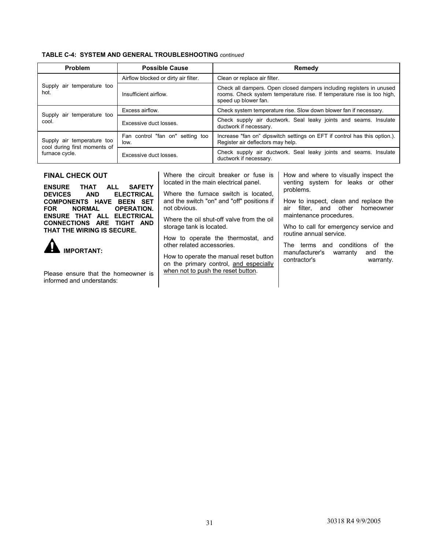| Problem                                                    | <b>Possible Cause</b>                    | Remedy                                                                                                                                                                 |
|------------------------------------------------------------|------------------------------------------|------------------------------------------------------------------------------------------------------------------------------------------------------------------------|
|                                                            | Airflow blocked or dirty air filter.     | Clean or replace air filter.                                                                                                                                           |
| Supply air temperature too<br>hot.                         | Insufficient airflow.                    | Check all dampers. Open closed dampers including registers in unused<br>rooms. Check system temperature rise. If temperature rise is too high,<br>speed up blower fan. |
| Supply air temperature too                                 | Excess airflow.                          | Check system temperature rise. Slow down blower fan if necessary.                                                                                                      |
| cool.                                                      | Excessive duct losses.                   | Check supply air ductwork. Seal leaky joints and seams. Insulate<br>ductwork if necessary.                                                                             |
| Supply air temperature too<br>cool during first moments of | Fan control "fan on" setting too<br>low. | Increase "fan on" dipswitch settings on EFT if control has this option.).<br>Register air deflectors may help.                                                         |
| furnace cycle.                                             | Excessive duct losses.                   | Check supply air ductwork. Seal leaky joints and seams. Insulate<br>ductwork if necessary.                                                                             |

#### **FINAL CHECK OUT**

**ENSURE THAT ALL SAFETY ELECTRICAL COMPONENTS HAVE BEEN SET FOR NORMAL OPERATION. ENSURE THAT ALL ELECTRICAL CONNECTIONS ARE TIGHT AND THAT THE WIRING IS SECURE.**

 **IMPORTANT:** 

Please ensure that the homeowner is informed and understands:

Where the circuit breaker or fuse is located in the main electrical panel.

Where the furnace switch is located, and the switch "on" and "off" positions if not obvious.

Where the oil shut-off valve from the oil storage tank is located.

How to operate the thermostat, and other related accessories.

How to operate the manual reset button on the primary control, and especially when not to push the reset button.

How and where to visually inspect the venting system for leaks or other problems.

How to inspect, clean and replace the air filter, and other homeowner maintenance procedures.

Who to call for emergency service and routine annual service.

The terms and conditions of the manufacturer's warranty and the contractor's warranty.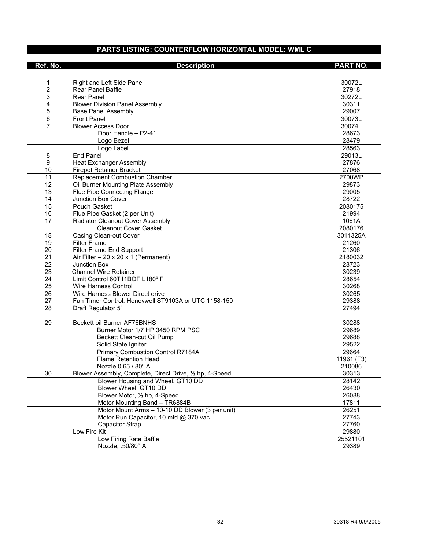#### **PARTS LISTING: COUNTERFLOW HORIZONTAL MODEL: WML C**

| Right and Left Side Panel<br>30072L<br>1<br>2<br>27918<br><b>Rear Panel Baffle</b><br>3<br><b>Rear Panel</b><br>30272L<br>4<br>30311<br><b>Blower Division Panel Assembly</b><br>5<br>29007<br><b>Base Panel Assembly</b><br>6<br><b>Front Panel</b><br>30073L<br>7<br><b>Blower Access Door</b><br>30074L<br>Door Handle - P2-41<br>28673<br>Logo Bezel<br>28479<br>28563<br>Logo Label<br><b>End Panel</b><br>29013L<br>8<br>9<br><b>Heat Exchanger Assembly</b><br>27876<br>10<br>27068<br>Firepot Retainer Bracket<br>11<br>Replacement Combustion Chamber<br>2700WP<br>12<br>Oil Burner Mounting Plate Assembly<br>29873<br>13<br>Flue Pipe Connecting Flange<br>29005<br>14<br>Junction Box Cover<br>28722<br>15<br>Pouch Gasket<br>2080175<br>16<br>Flue Pipe Gasket (2 per Unit)<br>21994<br>17<br>Radiator Cleanout Cover Assembly<br>1061A<br><b>Cleanout Cover Gasket</b><br>2080176<br>18<br><b>Casing Clean-out Cover</b><br>3011325A<br>19<br><b>Filter Frame</b><br>21260<br>20<br>Filter Frame End Support<br>21306<br>21<br>2180032<br>Air Filter $-20 \times 20 \times 1$ (Permanent)<br>$\overline{22}$<br>28723<br><b>Junction Box</b><br>23<br><b>Channel Wire Retainer</b><br>30239<br>24<br>Limit Control 60T11BOF L180° F<br>28654<br>25<br>30268<br><b>Wire Harness Control</b><br>$\overline{26}$<br>Wire Harness Blower Direct drive<br>30265<br>27<br>Fan Timer Control: Honeywell ST9103A or UTC 1158-150<br>29388<br>28<br>27494<br>Draft Regulator 5"<br>29<br>Beckett oil Burner AF76BNHS<br>30288<br>Burner Motor 1/7 HP 3450 RPM PSC<br>29689<br>29688<br>Beckett Clean-cut Oil Pump<br>29522<br>Solid State Igniter<br>Primary Combustion Control R7184A<br>29664<br><b>Flame Retention Head</b><br>11961 (F3)<br>Nozzle 0.65 / 80° A<br>210086<br>30<br>Blower Assembly, Complete, Direct Drive, 1/2 hp, 4-Speed<br>30313<br>Blower Housing and Wheel, GT10 DD<br>28142<br>Blower Wheel, GT10 DD<br>26430<br>Blower Motor, 1/2 hp, 4-Speed<br>26088<br>Motor Mounting Band - TR6884B<br>17811<br>Motor Mount Arms - 10-10 DD Blower (3 per unit)<br>26251<br>Motor Run Capacitor, 10 mfd @ 370 vac<br>27743<br>27760<br>Capacitor Strap<br>Low Fire Kit<br>29880<br>Low Firing Rate Baffle<br>25521101<br>Nozzle, .50/80° A<br>29389 | Ref. No. | <b>Description</b> | <b>PART NO.</b> |
|--------------------------------------------------------------------------------------------------------------------------------------------------------------------------------------------------------------------------------------------------------------------------------------------------------------------------------------------------------------------------------------------------------------------------------------------------------------------------------------------------------------------------------------------------------------------------------------------------------------------------------------------------------------------------------------------------------------------------------------------------------------------------------------------------------------------------------------------------------------------------------------------------------------------------------------------------------------------------------------------------------------------------------------------------------------------------------------------------------------------------------------------------------------------------------------------------------------------------------------------------------------------------------------------------------------------------------------------------------------------------------------------------------------------------------------------------------------------------------------------------------------------------------------------------------------------------------------------------------------------------------------------------------------------------------------------------------------------------------------------------------------------------------------------------------------------------------------------------------------------------------------------------------------------------------------------------------------------------------------------------------------------------------------------------------------------------------------------------------------------------------------------------------------------------------------------------------------------------------------------------------------------------|----------|--------------------|-----------------|
|                                                                                                                                                                                                                                                                                                                                                                                                                                                                                                                                                                                                                                                                                                                                                                                                                                                                                                                                                                                                                                                                                                                                                                                                                                                                                                                                                                                                                                                                                                                                                                                                                                                                                                                                                                                                                                                                                                                                                                                                                                                                                                                                                                                                                                                                          |          |                    |                 |
|                                                                                                                                                                                                                                                                                                                                                                                                                                                                                                                                                                                                                                                                                                                                                                                                                                                                                                                                                                                                                                                                                                                                                                                                                                                                                                                                                                                                                                                                                                                                                                                                                                                                                                                                                                                                                                                                                                                                                                                                                                                                                                                                                                                                                                                                          |          |                    |                 |
|                                                                                                                                                                                                                                                                                                                                                                                                                                                                                                                                                                                                                                                                                                                                                                                                                                                                                                                                                                                                                                                                                                                                                                                                                                                                                                                                                                                                                                                                                                                                                                                                                                                                                                                                                                                                                                                                                                                                                                                                                                                                                                                                                                                                                                                                          |          |                    |                 |
|                                                                                                                                                                                                                                                                                                                                                                                                                                                                                                                                                                                                                                                                                                                                                                                                                                                                                                                                                                                                                                                                                                                                                                                                                                                                                                                                                                                                                                                                                                                                                                                                                                                                                                                                                                                                                                                                                                                                                                                                                                                                                                                                                                                                                                                                          |          |                    |                 |
|                                                                                                                                                                                                                                                                                                                                                                                                                                                                                                                                                                                                                                                                                                                                                                                                                                                                                                                                                                                                                                                                                                                                                                                                                                                                                                                                                                                                                                                                                                                                                                                                                                                                                                                                                                                                                                                                                                                                                                                                                                                                                                                                                                                                                                                                          |          |                    |                 |
|                                                                                                                                                                                                                                                                                                                                                                                                                                                                                                                                                                                                                                                                                                                                                                                                                                                                                                                                                                                                                                                                                                                                                                                                                                                                                                                                                                                                                                                                                                                                                                                                                                                                                                                                                                                                                                                                                                                                                                                                                                                                                                                                                                                                                                                                          |          |                    |                 |
|                                                                                                                                                                                                                                                                                                                                                                                                                                                                                                                                                                                                                                                                                                                                                                                                                                                                                                                                                                                                                                                                                                                                                                                                                                                                                                                                                                                                                                                                                                                                                                                                                                                                                                                                                                                                                                                                                                                                                                                                                                                                                                                                                                                                                                                                          |          |                    |                 |
|                                                                                                                                                                                                                                                                                                                                                                                                                                                                                                                                                                                                                                                                                                                                                                                                                                                                                                                                                                                                                                                                                                                                                                                                                                                                                                                                                                                                                                                                                                                                                                                                                                                                                                                                                                                                                                                                                                                                                                                                                                                                                                                                                                                                                                                                          |          |                    |                 |
|                                                                                                                                                                                                                                                                                                                                                                                                                                                                                                                                                                                                                                                                                                                                                                                                                                                                                                                                                                                                                                                                                                                                                                                                                                                                                                                                                                                                                                                                                                                                                                                                                                                                                                                                                                                                                                                                                                                                                                                                                                                                                                                                                                                                                                                                          |          |                    |                 |
|                                                                                                                                                                                                                                                                                                                                                                                                                                                                                                                                                                                                                                                                                                                                                                                                                                                                                                                                                                                                                                                                                                                                                                                                                                                                                                                                                                                                                                                                                                                                                                                                                                                                                                                                                                                                                                                                                                                                                                                                                                                                                                                                                                                                                                                                          |          |                    |                 |
|                                                                                                                                                                                                                                                                                                                                                                                                                                                                                                                                                                                                                                                                                                                                                                                                                                                                                                                                                                                                                                                                                                                                                                                                                                                                                                                                                                                                                                                                                                                                                                                                                                                                                                                                                                                                                                                                                                                                                                                                                                                                                                                                                                                                                                                                          |          |                    |                 |
|                                                                                                                                                                                                                                                                                                                                                                                                                                                                                                                                                                                                                                                                                                                                                                                                                                                                                                                                                                                                                                                                                                                                                                                                                                                                                                                                                                                                                                                                                                                                                                                                                                                                                                                                                                                                                                                                                                                                                                                                                                                                                                                                                                                                                                                                          |          |                    |                 |
|                                                                                                                                                                                                                                                                                                                                                                                                                                                                                                                                                                                                                                                                                                                                                                                                                                                                                                                                                                                                                                                                                                                                                                                                                                                                                                                                                                                                                                                                                                                                                                                                                                                                                                                                                                                                                                                                                                                                                                                                                                                                                                                                                                                                                                                                          |          |                    |                 |
|                                                                                                                                                                                                                                                                                                                                                                                                                                                                                                                                                                                                                                                                                                                                                                                                                                                                                                                                                                                                                                                                                                                                                                                                                                                                                                                                                                                                                                                                                                                                                                                                                                                                                                                                                                                                                                                                                                                                                                                                                                                                                                                                                                                                                                                                          |          |                    |                 |
|                                                                                                                                                                                                                                                                                                                                                                                                                                                                                                                                                                                                                                                                                                                                                                                                                                                                                                                                                                                                                                                                                                                                                                                                                                                                                                                                                                                                                                                                                                                                                                                                                                                                                                                                                                                                                                                                                                                                                                                                                                                                                                                                                                                                                                                                          |          |                    |                 |
|                                                                                                                                                                                                                                                                                                                                                                                                                                                                                                                                                                                                                                                                                                                                                                                                                                                                                                                                                                                                                                                                                                                                                                                                                                                                                                                                                                                                                                                                                                                                                                                                                                                                                                                                                                                                                                                                                                                                                                                                                                                                                                                                                                                                                                                                          |          |                    |                 |
|                                                                                                                                                                                                                                                                                                                                                                                                                                                                                                                                                                                                                                                                                                                                                                                                                                                                                                                                                                                                                                                                                                                                                                                                                                                                                                                                                                                                                                                                                                                                                                                                                                                                                                                                                                                                                                                                                                                                                                                                                                                                                                                                                                                                                                                                          |          |                    |                 |
|                                                                                                                                                                                                                                                                                                                                                                                                                                                                                                                                                                                                                                                                                                                                                                                                                                                                                                                                                                                                                                                                                                                                                                                                                                                                                                                                                                                                                                                                                                                                                                                                                                                                                                                                                                                                                                                                                                                                                                                                                                                                                                                                                                                                                                                                          |          |                    |                 |
|                                                                                                                                                                                                                                                                                                                                                                                                                                                                                                                                                                                                                                                                                                                                                                                                                                                                                                                                                                                                                                                                                                                                                                                                                                                                                                                                                                                                                                                                                                                                                                                                                                                                                                                                                                                                                                                                                                                                                                                                                                                                                                                                                                                                                                                                          |          |                    |                 |
|                                                                                                                                                                                                                                                                                                                                                                                                                                                                                                                                                                                                                                                                                                                                                                                                                                                                                                                                                                                                                                                                                                                                                                                                                                                                                                                                                                                                                                                                                                                                                                                                                                                                                                                                                                                                                                                                                                                                                                                                                                                                                                                                                                                                                                                                          |          |                    |                 |
|                                                                                                                                                                                                                                                                                                                                                                                                                                                                                                                                                                                                                                                                                                                                                                                                                                                                                                                                                                                                                                                                                                                                                                                                                                                                                                                                                                                                                                                                                                                                                                                                                                                                                                                                                                                                                                                                                                                                                                                                                                                                                                                                                                                                                                                                          |          |                    |                 |
|                                                                                                                                                                                                                                                                                                                                                                                                                                                                                                                                                                                                                                                                                                                                                                                                                                                                                                                                                                                                                                                                                                                                                                                                                                                                                                                                                                                                                                                                                                                                                                                                                                                                                                                                                                                                                                                                                                                                                                                                                                                                                                                                                                                                                                                                          |          |                    |                 |
|                                                                                                                                                                                                                                                                                                                                                                                                                                                                                                                                                                                                                                                                                                                                                                                                                                                                                                                                                                                                                                                                                                                                                                                                                                                                                                                                                                                                                                                                                                                                                                                                                                                                                                                                                                                                                                                                                                                                                                                                                                                                                                                                                                                                                                                                          |          |                    |                 |
|                                                                                                                                                                                                                                                                                                                                                                                                                                                                                                                                                                                                                                                                                                                                                                                                                                                                                                                                                                                                                                                                                                                                                                                                                                                                                                                                                                                                                                                                                                                                                                                                                                                                                                                                                                                                                                                                                                                                                                                                                                                                                                                                                                                                                                                                          |          |                    |                 |
|                                                                                                                                                                                                                                                                                                                                                                                                                                                                                                                                                                                                                                                                                                                                                                                                                                                                                                                                                                                                                                                                                                                                                                                                                                                                                                                                                                                                                                                                                                                                                                                                                                                                                                                                                                                                                                                                                                                                                                                                                                                                                                                                                                                                                                                                          |          |                    |                 |
|                                                                                                                                                                                                                                                                                                                                                                                                                                                                                                                                                                                                                                                                                                                                                                                                                                                                                                                                                                                                                                                                                                                                                                                                                                                                                                                                                                                                                                                                                                                                                                                                                                                                                                                                                                                                                                                                                                                                                                                                                                                                                                                                                                                                                                                                          |          |                    |                 |
|                                                                                                                                                                                                                                                                                                                                                                                                                                                                                                                                                                                                                                                                                                                                                                                                                                                                                                                                                                                                                                                                                                                                                                                                                                                                                                                                                                                                                                                                                                                                                                                                                                                                                                                                                                                                                                                                                                                                                                                                                                                                                                                                                                                                                                                                          |          |                    |                 |
|                                                                                                                                                                                                                                                                                                                                                                                                                                                                                                                                                                                                                                                                                                                                                                                                                                                                                                                                                                                                                                                                                                                                                                                                                                                                                                                                                                                                                                                                                                                                                                                                                                                                                                                                                                                                                                                                                                                                                                                                                                                                                                                                                                                                                                                                          |          |                    |                 |
|                                                                                                                                                                                                                                                                                                                                                                                                                                                                                                                                                                                                                                                                                                                                                                                                                                                                                                                                                                                                                                                                                                                                                                                                                                                                                                                                                                                                                                                                                                                                                                                                                                                                                                                                                                                                                                                                                                                                                                                                                                                                                                                                                                                                                                                                          |          |                    |                 |
|                                                                                                                                                                                                                                                                                                                                                                                                                                                                                                                                                                                                                                                                                                                                                                                                                                                                                                                                                                                                                                                                                                                                                                                                                                                                                                                                                                                                                                                                                                                                                                                                                                                                                                                                                                                                                                                                                                                                                                                                                                                                                                                                                                                                                                                                          |          |                    |                 |
|                                                                                                                                                                                                                                                                                                                                                                                                                                                                                                                                                                                                                                                                                                                                                                                                                                                                                                                                                                                                                                                                                                                                                                                                                                                                                                                                                                                                                                                                                                                                                                                                                                                                                                                                                                                                                                                                                                                                                                                                                                                                                                                                                                                                                                                                          |          |                    |                 |
|                                                                                                                                                                                                                                                                                                                                                                                                                                                                                                                                                                                                                                                                                                                                                                                                                                                                                                                                                                                                                                                                                                                                                                                                                                                                                                                                                                                                                                                                                                                                                                                                                                                                                                                                                                                                                                                                                                                                                                                                                                                                                                                                                                                                                                                                          |          |                    |                 |
|                                                                                                                                                                                                                                                                                                                                                                                                                                                                                                                                                                                                                                                                                                                                                                                                                                                                                                                                                                                                                                                                                                                                                                                                                                                                                                                                                                                                                                                                                                                                                                                                                                                                                                                                                                                                                                                                                                                                                                                                                                                                                                                                                                                                                                                                          |          |                    |                 |
|                                                                                                                                                                                                                                                                                                                                                                                                                                                                                                                                                                                                                                                                                                                                                                                                                                                                                                                                                                                                                                                                                                                                                                                                                                                                                                                                                                                                                                                                                                                                                                                                                                                                                                                                                                                                                                                                                                                                                                                                                                                                                                                                                                                                                                                                          |          |                    |                 |
|                                                                                                                                                                                                                                                                                                                                                                                                                                                                                                                                                                                                                                                                                                                                                                                                                                                                                                                                                                                                                                                                                                                                                                                                                                                                                                                                                                                                                                                                                                                                                                                                                                                                                                                                                                                                                                                                                                                                                                                                                                                                                                                                                                                                                                                                          |          |                    |                 |
|                                                                                                                                                                                                                                                                                                                                                                                                                                                                                                                                                                                                                                                                                                                                                                                                                                                                                                                                                                                                                                                                                                                                                                                                                                                                                                                                                                                                                                                                                                                                                                                                                                                                                                                                                                                                                                                                                                                                                                                                                                                                                                                                                                                                                                                                          |          |                    |                 |
|                                                                                                                                                                                                                                                                                                                                                                                                                                                                                                                                                                                                                                                                                                                                                                                                                                                                                                                                                                                                                                                                                                                                                                                                                                                                                                                                                                                                                                                                                                                                                                                                                                                                                                                                                                                                                                                                                                                                                                                                                                                                                                                                                                                                                                                                          |          |                    |                 |
|                                                                                                                                                                                                                                                                                                                                                                                                                                                                                                                                                                                                                                                                                                                                                                                                                                                                                                                                                                                                                                                                                                                                                                                                                                                                                                                                                                                                                                                                                                                                                                                                                                                                                                                                                                                                                                                                                                                                                                                                                                                                                                                                                                                                                                                                          |          |                    |                 |
|                                                                                                                                                                                                                                                                                                                                                                                                                                                                                                                                                                                                                                                                                                                                                                                                                                                                                                                                                                                                                                                                                                                                                                                                                                                                                                                                                                                                                                                                                                                                                                                                                                                                                                                                                                                                                                                                                                                                                                                                                                                                                                                                                                                                                                                                          |          |                    |                 |
|                                                                                                                                                                                                                                                                                                                                                                                                                                                                                                                                                                                                                                                                                                                                                                                                                                                                                                                                                                                                                                                                                                                                                                                                                                                                                                                                                                                                                                                                                                                                                                                                                                                                                                                                                                                                                                                                                                                                                                                                                                                                                                                                                                                                                                                                          |          |                    |                 |
|                                                                                                                                                                                                                                                                                                                                                                                                                                                                                                                                                                                                                                                                                                                                                                                                                                                                                                                                                                                                                                                                                                                                                                                                                                                                                                                                                                                                                                                                                                                                                                                                                                                                                                                                                                                                                                                                                                                                                                                                                                                                                                                                                                                                                                                                          |          |                    |                 |
|                                                                                                                                                                                                                                                                                                                                                                                                                                                                                                                                                                                                                                                                                                                                                                                                                                                                                                                                                                                                                                                                                                                                                                                                                                                                                                                                                                                                                                                                                                                                                                                                                                                                                                                                                                                                                                                                                                                                                                                                                                                                                                                                                                                                                                                                          |          |                    |                 |
|                                                                                                                                                                                                                                                                                                                                                                                                                                                                                                                                                                                                                                                                                                                                                                                                                                                                                                                                                                                                                                                                                                                                                                                                                                                                                                                                                                                                                                                                                                                                                                                                                                                                                                                                                                                                                                                                                                                                                                                                                                                                                                                                                                                                                                                                          |          |                    |                 |
|                                                                                                                                                                                                                                                                                                                                                                                                                                                                                                                                                                                                                                                                                                                                                                                                                                                                                                                                                                                                                                                                                                                                                                                                                                                                                                                                                                                                                                                                                                                                                                                                                                                                                                                                                                                                                                                                                                                                                                                                                                                                                                                                                                                                                                                                          |          |                    |                 |
|                                                                                                                                                                                                                                                                                                                                                                                                                                                                                                                                                                                                                                                                                                                                                                                                                                                                                                                                                                                                                                                                                                                                                                                                                                                                                                                                                                                                                                                                                                                                                                                                                                                                                                                                                                                                                                                                                                                                                                                                                                                                                                                                                                                                                                                                          |          |                    |                 |
|                                                                                                                                                                                                                                                                                                                                                                                                                                                                                                                                                                                                                                                                                                                                                                                                                                                                                                                                                                                                                                                                                                                                                                                                                                                                                                                                                                                                                                                                                                                                                                                                                                                                                                                                                                                                                                                                                                                                                                                                                                                                                                                                                                                                                                                                          |          |                    |                 |
|                                                                                                                                                                                                                                                                                                                                                                                                                                                                                                                                                                                                                                                                                                                                                                                                                                                                                                                                                                                                                                                                                                                                                                                                                                                                                                                                                                                                                                                                                                                                                                                                                                                                                                                                                                                                                                                                                                                                                                                                                                                                                                                                                                                                                                                                          |          |                    |                 |
|                                                                                                                                                                                                                                                                                                                                                                                                                                                                                                                                                                                                                                                                                                                                                                                                                                                                                                                                                                                                                                                                                                                                                                                                                                                                                                                                                                                                                                                                                                                                                                                                                                                                                                                                                                                                                                                                                                                                                                                                                                                                                                                                                                                                                                                                          |          |                    |                 |
|                                                                                                                                                                                                                                                                                                                                                                                                                                                                                                                                                                                                                                                                                                                                                                                                                                                                                                                                                                                                                                                                                                                                                                                                                                                                                                                                                                                                                                                                                                                                                                                                                                                                                                                                                                                                                                                                                                                                                                                                                                                                                                                                                                                                                                                                          |          |                    |                 |
|                                                                                                                                                                                                                                                                                                                                                                                                                                                                                                                                                                                                                                                                                                                                                                                                                                                                                                                                                                                                                                                                                                                                                                                                                                                                                                                                                                                                                                                                                                                                                                                                                                                                                                                                                                                                                                                                                                                                                                                                                                                                                                                                                                                                                                                                          |          |                    |                 |
|                                                                                                                                                                                                                                                                                                                                                                                                                                                                                                                                                                                                                                                                                                                                                                                                                                                                                                                                                                                                                                                                                                                                                                                                                                                                                                                                                                                                                                                                                                                                                                                                                                                                                                                                                                                                                                                                                                                                                                                                                                                                                                                                                                                                                                                                          |          |                    |                 |
|                                                                                                                                                                                                                                                                                                                                                                                                                                                                                                                                                                                                                                                                                                                                                                                                                                                                                                                                                                                                                                                                                                                                                                                                                                                                                                                                                                                                                                                                                                                                                                                                                                                                                                                                                                                                                                                                                                                                                                                                                                                                                                                                                                                                                                                                          |          |                    |                 |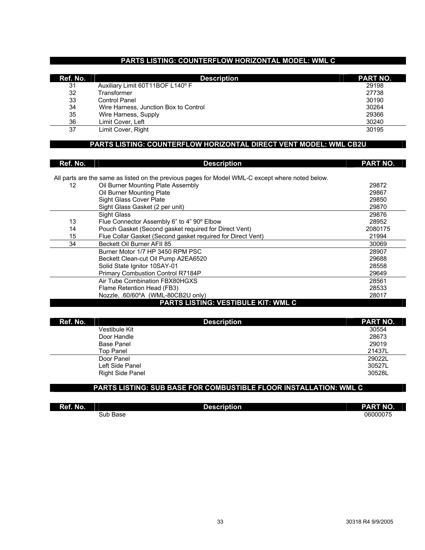#### **PARTS LISTING: COUNTERFLOW HORIZONTAL MODEL: WML C**

| Ref. No. | <b>Description</b>                    | <b>PART NO.</b> |
|----------|---------------------------------------|-----------------|
| 31       | Auxiliary Limit 60T11BOF L140° F      | 29198           |
| 32       | <b>Transformer</b>                    | 27738           |
| 33       | <b>Control Panel</b>                  | 30190           |
| 34       | Wire Harness, Junction Box to Control | 30264           |
| 35       | Wire Harness, Supply                  | 29366           |
| 36       | Limit Cover, Left                     | 30240           |
| 37       | Limit Cover, Right                    | 30195           |

#### **PARTS LISTING: COUNTERFLOW HORIZONTAL DIRECT VENT MODEL: WML CB2U**

| Ref. No.          | <b>Description</b>                                                                               | PART NO. |
|-------------------|--------------------------------------------------------------------------------------------------|----------|
|                   |                                                                                                  |          |
|                   | All parts are the same as listed on the previous pages for Model WML-C except where noted below. |          |
| $12 \overline{ }$ | Oil Burner Mounting Plate Assembly                                                               | 29872    |
|                   | Oil Burner Mounting Plate                                                                        | 29867    |
|                   | Sight Glass Cover Plate                                                                          | 29850    |
|                   | Sight Glass Gasket (2 per unit)                                                                  | 29870    |
|                   | <b>Sight Glass</b>                                                                               | 29876    |
| 13                | Flue Connector Assembly 6" to 4" 90° Elbow                                                       | 28952    |
| 14                | Pouch Gasket (Second gasket required for Direct Vent)                                            | 2080175  |
| 15                | Flue Collar Gasket (Second gasket required for Direct Vent)                                      | 21994    |
| 34                | Beckett Oil Burner AFII 85                                                                       | 30069    |
|                   | Burner Motor 1/7 HP 3450 RPM PSC                                                                 | 28907    |
|                   | Beckett Clean-cut Oil Pump A2EA6520                                                              | 29688    |
|                   | Solid State Ignitor 10SAY-01                                                                     | 28558    |
|                   | Primary Combustion Control R7184P                                                                | 29649    |
|                   | Air Tube Combination FBX80HGXS                                                                   | 28561    |
|                   | Flame Retention Head (FB3)                                                                       | 28533    |
|                   | Nozzle, .60/60°A (WML-80CB2U only)                                                               | 28017    |
|                   | <b>PARTS LISTING: VESTIBULE KIT: WML C</b>                                                       |          |

| Ref. No.                | <b>Description</b> | PART NO. |
|-------------------------|--------------------|----------|
| Vestibule Kit           |                    | 30554    |
| Door Handle             |                    | 28673    |
| <b>Base Panel</b>       |                    | 29019    |
| <b>Top Panel</b>        |                    | 21437L   |
| Door Panel              |                    | 29022L   |
| Left Side Panel         |                    | 30527L   |
| <b>Right Side Panel</b> |                    | 30528L   |

#### **PARTS LISTING: SUB BASE FOR COMBUSTIBLE FLOOR INSTALLATION: WML C**

| Ref. No. | <b>Description</b> | <b>PART NO.</b> |
|----------|--------------------|-----------------|
|          | Sub Base           | 06000075        |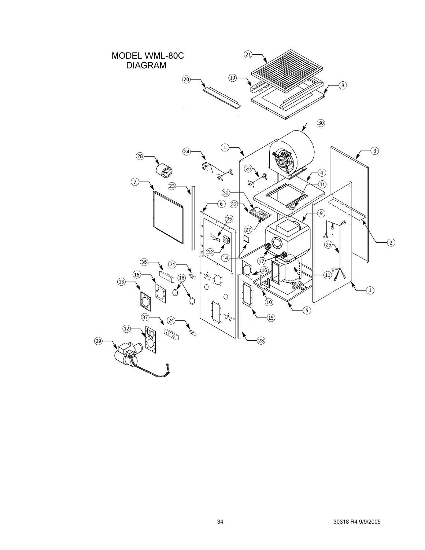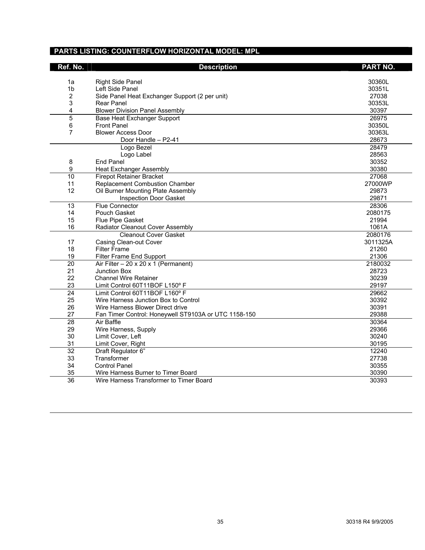#### **PARTS LISTING: COUNTERFLOW HORIZONTAL MODEL: MPL**

| Ref. No.              | <b>Description</b>                                             | <b>PART NO.</b>  |
|-----------------------|----------------------------------------------------------------|------------------|
| 1a                    | <b>Right Side Panel</b>                                        | 30360L           |
| 1 <sub>b</sub>        | Left Side Panel                                                | 30351L           |
| $\overline{2}$        | Side Panel Heat Exchanger Support (2 per unit)                 | 27038            |
| 3                     | Rear Panel                                                     | 30353L           |
| 4                     | <b>Blower Division Panel Assembly</b>                          | 30397            |
| 5                     | <b>Base Heat Exchanger Support</b>                             | 26975            |
| 6                     | <b>Front Panel</b>                                             | 30350L           |
| $\overline{7}$        | <b>Blower Access Door</b>                                      | 30363L           |
|                       | Door Handle - P2-41                                            | 28673            |
|                       | Logo Bezel                                                     | 28479            |
|                       | Logo Label                                                     | 28563            |
| 8                     | <b>End Panel</b>                                               | 30352            |
| 9                     | <b>Heat Exchanger Assembly</b>                                 | 30380            |
| 10                    | <b>Firepot Retainer Bracket</b>                                | 27068            |
| 11                    | <b>Replacement Combustion Chamber</b>                          | 27000WP          |
| 12                    | Oil Burner Mounting Plate Assembly                             | 29873            |
|                       | Inspection Door Gasket                                         | 29871            |
| 13                    | <b>Flue Connector</b>                                          | 28306            |
| 14                    | Pouch Gasket                                                   | 2080175          |
| 15                    | Flue Pipe Gasket                                               | 21994            |
| 16                    | Radiator Cleanout Cover Assembly                               | 1061A            |
|                       | <b>Cleanout Cover Gasket</b>                                   | 2080176          |
| 17                    | Casing Clean-out Cover                                         | 3011325A         |
| 18                    | <b>Filter Frame</b>                                            | 21260            |
| 19                    | Filter Frame End Support                                       | 21306            |
| $\overline{20}$<br>21 | Air Filter $-20 \times 20 \times 1$ (Permanent)                | 2180032<br>28723 |
| 22                    | <b>Junction Box</b>                                            |                  |
| 23                    | <b>Channel Wire Retainer</b><br>Limit Control 60T11BOF L150° F | 30239<br>29197   |
| $\overline{24}$       | Limit Control 60T11BOF L160° F                                 | 29662            |
| 25                    | Wire Harness Junction Box to Control                           | 30392            |
| 26                    | Wire Harness Blower Direct drive                               | 30391            |
| 27                    | Fan Timer Control: Honeywell ST9103A or UTC 1158-150           | 29388            |
| $\overline{28}$       | Air Baffle                                                     | 30364            |
| 29                    | Wire Harness, Supply                                           | 29366            |
| 30                    | Limit Cover, Left                                              | 30240            |
| 31                    | Limit Cover, Right                                             | 30195            |
| $\overline{32}$       | Draft Regulator 6"                                             | 12240            |
| 33                    | Transformer                                                    | 27738            |
| 34                    | <b>Control Panel</b>                                           | 30355            |
| 35                    | Wire Harness Burner to Timer Board                             | 30390            |
| $\overline{36}$       | Wire Harness Transformer to Timer Board                        | 30393            |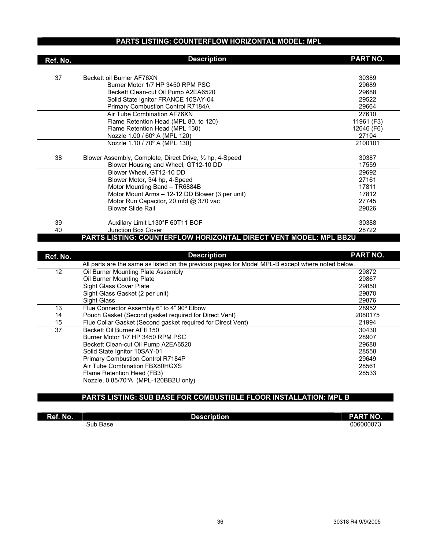#### **PARTS LISTING: COUNTERFLOW HORIZONTAL MODEL: MPL**

| Ref. No. | <b>Description</b>                                                | PART NO.   |
|----------|-------------------------------------------------------------------|------------|
| 37       | Beckett oil Burner AF76XN                                         | 30389      |
|          | Burner Motor 1/7 HP 3450 RPM PSC                                  | 29689      |
|          | Beckett Clean-cut Oil Pump A2EA6520                               | 29688      |
|          | Solid State Ignitor FRANCE 10SAY-04                               | 29522      |
|          | Primary Combustion Control R7184A                                 | 29664      |
|          | Air Tube Combination AF76XN                                       | 27610      |
|          | Flame Retention Head (MPL 80, to 120)                             | 11961 (F3) |
|          | Flame Retention Head (MPL 130)                                    | 12646 (F6) |
|          | Nozzle 1.00 / 60° A (MPL 120)                                     | 27104      |
|          | Nozzle 1.10 / 70° A (MPL 130)                                     | 2100101    |
| 38       | Blower Assembly, Complete, Direct Drive, 1/2 hp, 4-Speed          | 30387      |
|          | Blower Housing and Wheel, GT12-10 DD                              | 17559      |
|          | Blower Wheel, GT12-10 DD                                          | 29692      |
|          | Blower Motor, 3/4 hp, 4-Speed                                     | 27161      |
|          | Motor Mounting Band - TR6884B                                     | 17811      |
|          | Motor Mount Arms - 12-12 DD Blower (3 per unit)                   | 17812      |
|          | Motor Run Capacitor, 20 mfd @ 370 vac                             | 27745      |
|          | <b>Blower Slide Rail</b>                                          | 29026      |
| 39       | Auxillary Limit L130°F 60T11 BOF                                  | 30388      |
| 40       | Junction Box Cover                                                | 28722      |
|          | PARTS LISTING: COUNTERFLOW HORIZONTAL DIRECT VENT MODEL: MPL BB2U |            |

| Ref. No. | <b>Description</b>                                                                               | PART NO. |
|----------|--------------------------------------------------------------------------------------------------|----------|
|          | All parts are the same as listed on the previous pages for Model MPL-B except where noted below. |          |
| 12       | Oil Burner Mounting Plate Assembly                                                               | 29872    |
|          | Oil Burner Mounting Plate                                                                        | 29867    |
|          | <b>Sight Glass Cover Plate</b>                                                                   | 29850    |
|          | Sight Glass Gasket (2 per unit)                                                                  | 29870    |
|          | Sight Glass                                                                                      | 29876    |
| 13       | Flue Connector Assembly 6" to 4" 90° Elbow                                                       | 28952    |
| 14       | Pouch Gasket (Second gasket required for Direct Vent)                                            | 2080175  |
| 15       | Flue Collar Gasket (Second gasket required for Direct Vent)                                      | 21994    |
| 37       | Beckett Oil Burner AFII 150                                                                      | 30430    |
|          | Burner Motor 1/7 HP 3450 RPM PSC                                                                 | 28907    |
|          | Beckett Clean-cut Oil Pump A2EA6520                                                              | 29688    |
|          | Solid State Ignitor 10SAY-01                                                                     | 28558    |
|          | Primary Combustion Control R7184P                                                                | 29649    |
|          | Air Tube Combination FBX80HGXS                                                                   | 28561    |
|          | Flame Retention Head (FB3)                                                                       | 28533    |
|          | Nozzle, 0.85/70°A (MPL-120BB2U only)                                                             |          |

#### **PARTS LISTING: SUB BASE FOR COMBUSTIBLE FLOOR INSTALLATION: MPL B**

| Ref. No. | <b>Description</b> | <b>PART NO.</b> |
|----------|--------------------|-----------------|
|          | Sub Base           | 006000073       |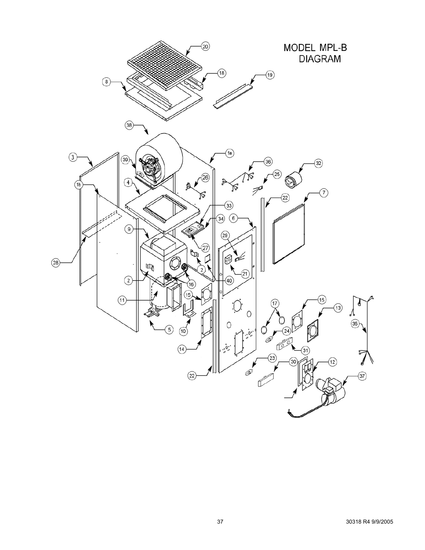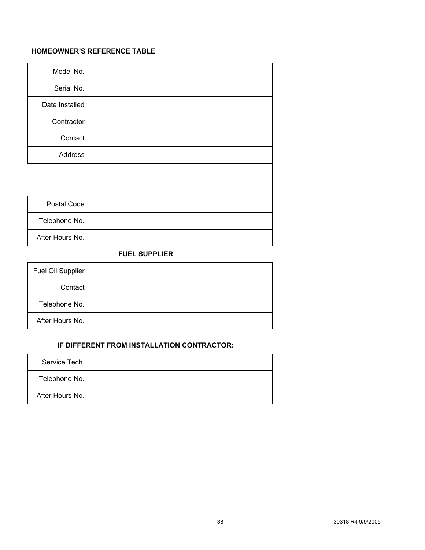#### **HOMEOWNER'S REFERENCE TABLE**

| Model No.       |  |
|-----------------|--|
| Serial No.      |  |
| Date Installed  |  |
| Contractor      |  |
| Contact         |  |
| Address         |  |
|                 |  |
|                 |  |
| Postal Code     |  |
| Telephone No.   |  |
| After Hours No. |  |

#### **FUEL SUPPLIER**

| Fuel Oil Supplier |  |
|-------------------|--|
| Contact           |  |
| Telephone No.     |  |
| After Hours No.   |  |

#### **IF DIFFERENT FROM INSTALLATION CONTRACTOR:**

| Service Tech.   |  |
|-----------------|--|
| Telephone No.   |  |
| After Hours No. |  |